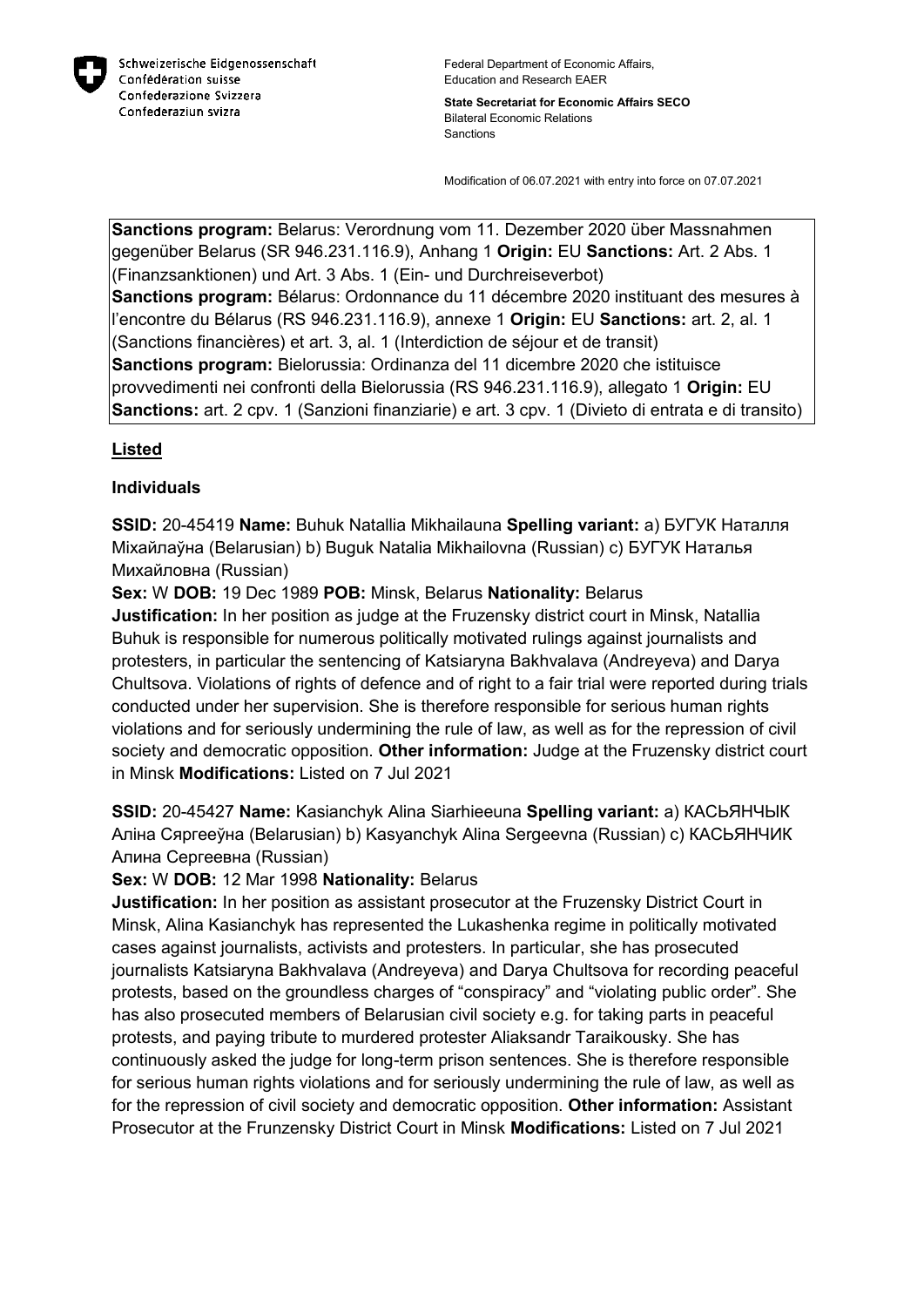

**State Secretariat for Economic Affairs SECO** Bilateral Economic Relations **Sanctions** 

Modification of 06.07.2021 with entry into force on 07.07.2021

**Sanctions program:** Belarus: Verordnung vom 11. Dezember 2020 über Massnahmen gegenüber Belarus (SR 946.231.116.9), Anhang 1 **Origin:** EU **Sanctions:** Art. 2 Abs. 1 (Finanzsanktionen) und Art. 3 Abs. 1 (Ein- und Durchreiseverbot) **Sanctions program:** Bélarus: Ordonnance du 11 décembre 2020 instituant des mesures à l'encontre du Bélarus (RS 946.231.116.9), annexe 1 **Origin:** EU **Sanctions:** art. 2, al. 1 (Sanctions financières) et art. 3, al. 1 (Interdiction de séjour et de transit) **Sanctions program:** Bielorussia: Ordinanza del 11 dicembre 2020 che istituisce provvedimenti nei confronti della Bielorussia (RS 946.231.116.9), allegato 1 **Origin:** EU **Sanctions:** art. 2 cpv. 1 (Sanzioni finanziarie) e art. 3 cpv. 1 (Divieto di entrata e di transito)

## **Listed**

## **Individuals**

**SSID:** 20-45419 **Name:** Buhuk Natallia Mikhailauna **Spelling variant:** a) БУГУК Наталля Мiхайлаўна (Belarusian) b) Buguk Natalia Mikhailovna (Russian) c) БУГУК Наталья Михайловна (Russian)

**Sex:** W **DOB:** 19 Dec 1989 **POB:** Minsk, Belarus **Nationality:** Belarus

**Justification:** In her position as judge at the Fruzensky district court in Minsk, Natallia Buhuk is responsible for numerous politically motivated rulings against journalists and protesters, in particular the sentencing of Katsiaryna Bakhvalava (Andreyeva) and Darya Chultsova. Violations of rights of defence and of right to a fair trial were reported during trials conducted under her supervision. She is therefore responsible for serious human rights violations and for seriously undermining the rule of law, as well as for the repression of civil society and democratic opposition. **Other information:** Judge at the Fruzensky district court in Minsk **Modifications:** Listed on 7 Jul 2021

**SSID:** 20-45427 **Name:** Kasianchyk Alina Siarhieeuna **Spelling variant:** a) КАСЬЯНЧЫК Алiна Сяргееўна (Belarusian) b) Kasyanchyk Alina Sergeevna (Russian) c) КАСЬЯНЧИК Алина Сергеевна (Russian)

**Sex:** W **DOB:** 12 Mar 1998 **Nationality:** Belarus

**Justification:** In her position as assistant prosecutor at the Fruzensky District Court in Minsk, Alina Kasianchyk has represented the Lukashenka regime in politically motivated cases against journalists, activists and protesters. In particular, she has prosecuted journalists Katsiaryna Bakhvalava (Andreyeva) and Darya Chultsova for recording peaceful protests, based on the groundless charges of "conspiracy" and "violating public order". She has also prosecuted members of Belarusian civil society e.g. for taking parts in peaceful protests, and paying tribute to murdered protester Aliaksandr Taraikousky. She has continuously asked the judge for long-term prison sentences. She is therefore responsible for serious human rights violations and for seriously undermining the rule of law, as well as for the repression of civil society and democratic opposition. **Other information:** Assistant Prosecutor at the Frunzensky District Court in Minsk **Modifications:** Listed on 7 Jul 2021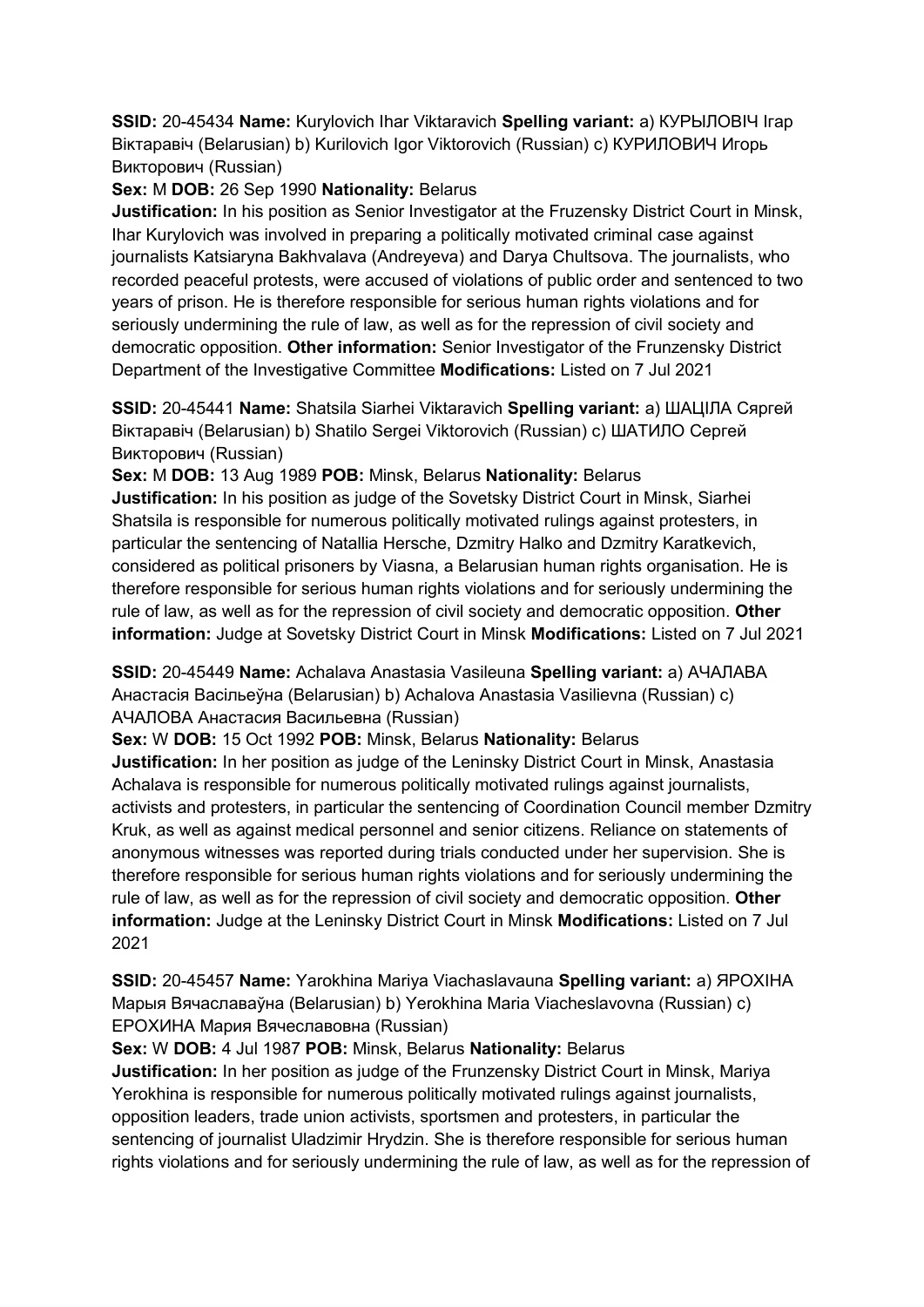**SSID:** 20-45434 **Name:** Kurylovich Ihar Viktaravich **Spelling variant:** a) КУРЫЛОВIЧ Iгар Віктаравіч (Belarusian) b) Kurilovich Igor Viktorovich (Russian) с) КУРИЛОВИЧ Игорь Викторович (Russian)

# **Sex:** M **DOB:** 26 Sep 1990 **Nationality:** Belarus

**Justification:** In his position as Senior Investigator at the Fruzensky District Court in Minsk, Ihar Kurylovich was involved in preparing a politically motivated criminal case against journalists Katsiaryna Bakhvalava (Andreyeva) and Darya Chultsova. The journalists, who recorded peaceful protests, were accused of violations of public order and sentenced to two years of prison. He is therefore responsible for serious human rights violations and for seriously undermining the rule of law, as well as for the repression of civil society and democratic opposition. **Other information:** Senior Investigator of the Frunzensky District Department of the Investigative Committee **Modifications:** Listed on 7 Jul 2021

**SSID:** 20-45441 **Name:** Shatsila Siarhei Viktaravich **Spelling variant:** a) ШАЦIЛА Сяргей Bikтаравіч (Belarusian) b) Shatilo Sergei Viktorovich (Russian) с) ШАТИЛО Сергей **Викторович (Russian)** 

**Sex:** M **DOB:** 13 Aug 1989 **POB:** Minsk, Belarus **Nationality:** Belarus **Justification:** In his position as judge of the Sovetsky District Court in Minsk, Siarhei Shatsila is responsible for numerous politically motivated rulings against protesters, in particular the sentencing of Natallia Hersche, Dzmitry Halko and Dzmitry Karatkevich, considered as political prisoners by Viasna, a Belarusian human rights organisation. He is therefore responsible for serious human rights violations and for seriously undermining the rule of law, as well as for the repression of civil society and democratic opposition. **Other information:** Judge at Sovetsky District Court in Minsk **Modifications:** Listed on 7 Jul 2021

**SSID:** 20-45449 **Name:** Achalava Anastasia Vasileuna **Spelling variant:** a) АЧАЛАВА Анастасiя Васiльеўна (Belarusian) b) Achalova Anastasia Vasilievna (Russian) c) АЧАЛОВА Анастасия Васильевна (Russian)

**Sex:** W **DOB:** 15 Oct 1992 **POB:** Minsk, Belarus **Nationality:** Belarus

**Justification:** In her position as judge of the Leninsky District Court in Minsk, Anastasia Achalava is responsible for numerous politically motivated rulings against journalists, activists and protesters, in particular the sentencing of Coordination Council member Dzmitry Kruk, as well as against medical personnel and senior citizens. Reliance on statements of anonymous witnesses was reported during trials conducted under her supervision. She is therefore responsible for serious human rights violations and for seriously undermining the rule of law, as well as for the repression of civil society and democratic opposition. **Other information:** Judge at the Leninsky District Court in Minsk **Modifications:** Listed on 7 Jul 2021

**SSID:** 20-45457 **Name:** Yarokhina Mariya Viachaslavauna **Spelling variant:** a) ЯРОХIНА Марыя Вячаславаўна (Belarusian) b) Yerokhina Maria Viacheslavovna (Russian) c) ЕРОХИНА Мария Вячеславовна (Russian)

# **Sex:** W **DOB:** 4 Jul 1987 **POB:** Minsk, Belarus **Nationality:** Belarus

**Justification:** In her position as judge of the Frunzensky District Court in Minsk, Mariya Yerokhina is responsible for numerous politically motivated rulings against journalists, opposition leaders, trade union activists, sportsmen and protesters, in particular the sentencing of journalist Uladzimir Hrydzin. She is therefore responsible for serious human rights violations and for seriously undermining the rule of law, as well as for the repression of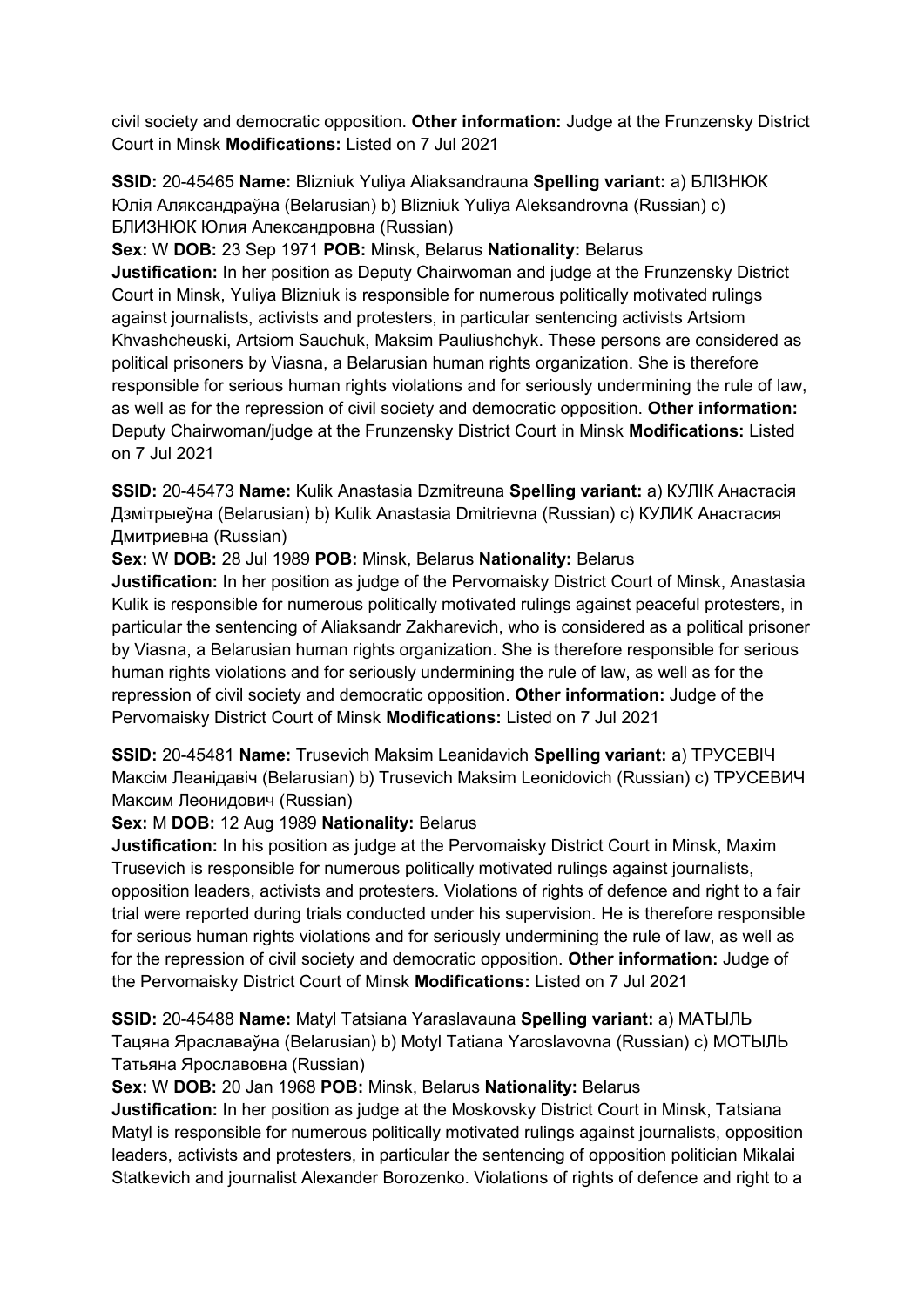civil society and democratic opposition. **Other information:** Judge at the Frunzensky District Court in Minsk **Modifications:** Listed on 7 Jul 2021

**SSID:** 20-45465 **Name:** Blizniuk Yuliya Aliaksandrauna **Spelling variant:** a) БЛIЗНЮК Юлiя Аляĸсандраўна (Belarusian) b) Blizniuk Yuliya Aleksandrovna (Russian) c) БЛИЗНЮК Юлия Алеĸсандровна (Russian)

**Sex:** W **DOB:** 23 Sep 1971 **POB:** Minsk, Belarus **Nationality:** Belarus **Justification:** In her position as Deputy Chairwoman and judge at the Frunzensky District Court in Minsk, Yuliya Blizniuk is responsible for numerous politically motivated rulings against journalists, activists and protesters, in particular sentencing activists Artsiom Khvashcheuski, Artsiom Sauchuk, Maksim Pauliushchyk. These persons are considered as political prisoners by Viasna, a Belarusian human rights organization. She is therefore responsible for serious human rights violations and for seriously undermining the rule of law, as well as for the repression of civil society and democratic opposition. **Other information:** Deputy Chairwoman/judge at the Frunzensky District Court in Minsk **Modifications:** Listed on 7 Jul 2021

**SSID:** 20-45473 **Name:** Kulik Anastasia Dzmitreuna **Spelling variant:** a) КУЛIК Анастасiя Дзмiтрыеўна (Belarusian) b) Kulik Anastasia Dmitrievna (Russian) c) КУЛИК Анастасия Дмитриевна (Russian)

**Sex:** W **DOB:** 28 Jul 1989 **POB:** Minsk, Belarus **Nationality:** Belarus

**Justification:** In her position as judge of the Pervomaisky District Court of Minsk, Anastasia Kulik is responsible for numerous politically motivated rulings against peaceful protesters, in particular the sentencing of Aliaksandr Zakharevich, who is considered as a political prisoner by Viasna, a Belarusian human rights organization. She is therefore responsible for serious human rights violations and for seriously undermining the rule of law, as well as for the repression of civil society and democratic opposition. **Other information:** Judge of the Pervomaisky District Court of Minsk **Modifications:** Listed on 7 Jul 2021

**SSID:** 20-45481 **Name:** Trusevich Maksim Leanidavich **Spelling variant:** a) ТРУСЕВIЧ Маĸсiм Леанiдавiч (Belarusian) b) Trusevich Maksim Leonidovich (Russian) c) ТРУСЕВИЧ Максим Леонидович (Russian)

## **Sex:** M **DOB:** 12 Aug 1989 **Nationality:** Belarus

**Justification:** In his position as judge at the Pervomaisky District Court in Minsk, Maxim Trusevich is responsible for numerous politically motivated rulings against journalists, opposition leaders, activists and protesters. Violations of rights of defence and right to a fair trial were reported during trials conducted under his supervision. He is therefore responsible for serious human rights violations and for seriously undermining the rule of law, as well as for the repression of civil society and democratic opposition. **Other information:** Judge of the Pervomaisky District Court of Minsk **Modifications:** Listed on 7 Jul 2021

**SSID:** 20-45488 **Name:** Matyl Tatsiana Yaraslavauna **Spelling variant:** a) МАТЫЛЬ Тацяна Яраславаўна (Belarusian) b) Motyl Tatiana Yaroslavovna (Russian) c) МОТЫЛЬ Татьяна Ярославовна (Russian)

## **Sex:** W **DOB:** 20 Jan 1968 **POB:** Minsk, Belarus **Nationality:** Belarus

**Justification:** In her position as judge at the Moskovsky District Court in Minsk, Tatsiana Matyl is responsible for numerous politically motivated rulings against journalists, opposition leaders, activists and protesters, in particular the sentencing of opposition politician Mikalai Statkevich and journalist Alexander Borozenko. Violations of rights of defence and right to a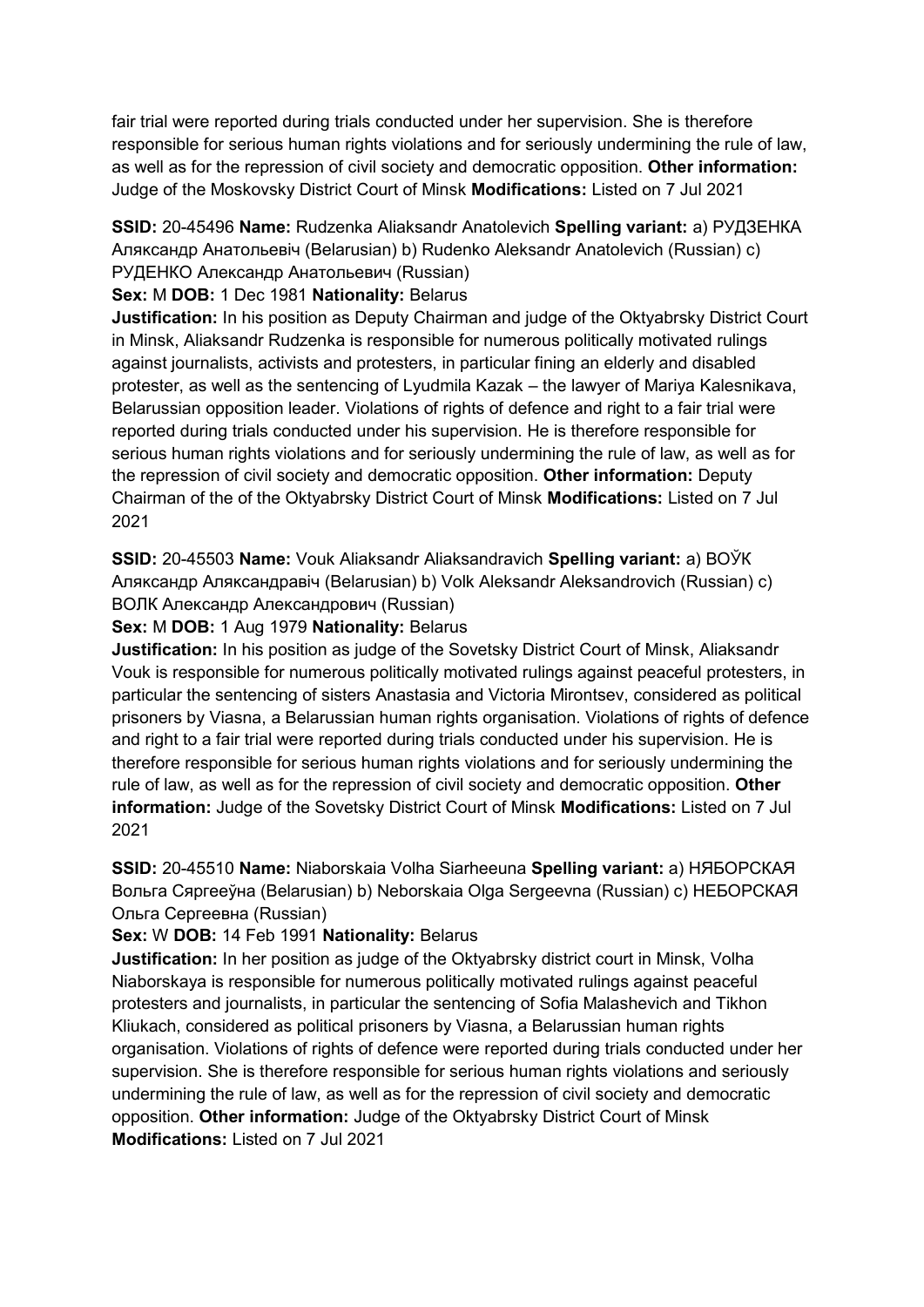fair trial were reported during trials conducted under her supervision. She is therefore responsible for serious human rights violations and for seriously undermining the rule of law, as well as for the repression of civil society and democratic opposition. **Other information:** Judge of the Moskovsky District Court of Minsk **Modifications:** Listed on 7 Jul 2021

**SSID:** 20-45496 **Name:** Rudzenka Aliaksandr Anatolevich **Spelling variant:** a) РУДЗЕНКА Аляĸсандр Анатольевiч (Belarusian) b) Rudenko Aleksandr Anatolevich (Russian) c) РУДЕНКО Александр Анатольевич (Russian)

## **Sex:** M **DOB:** 1 Dec 1981 **Nationality:** Belarus

**Justification:** In his position as Deputy Chairman and judge of the Oktyabrsky District Court in Minsk, Aliaksandr Rudzenka is responsible for numerous politically motivated rulings against journalists, activists and protesters, in particular fining an elderly and disabled protester, as well as the sentencing of Lyudmila Kazak – the lawyer of Mariya Kalesnikava, Belarussian opposition leader. Violations of rights of defence and right to a fair trial were reported during trials conducted under his supervision. He is therefore responsible for serious human rights violations and for seriously undermining the rule of law, as well as for the repression of civil society and democratic opposition. **Other information:** Deputy Chairman of the of the Oktyabrsky District Court of Minsk **Modifications:** Listed on 7 Jul 2021

**SSID:** 20-45503 **Name:** Vouk Aliaksandr Aliaksandravich **Spelling variant:** a) ВОЎК Аляĸсандр Аляĸсандравiч (Belarusian) b) Volk Aleksandr Aleksandrovich (Russian) c) ВОЛК Александр Александрович (Russian)

**Sex:** M **DOB:** 1 Aug 1979 **Nationality:** Belarus

**Justification:** In his position as judge of the Sovetsky District Court of Minsk, Aliaksandr Vouk is responsible for numerous politically motivated rulings against peaceful protesters, in particular the sentencing of sisters Anastasia and Victoria Mirontsev, considered as political prisoners by Viasna, a Belarussian human rights organisation. Violations of rights of defence and right to a fair trial were reported during trials conducted under his supervision. He is therefore responsible for serious human rights violations and for seriously undermining the rule of law, as well as for the repression of civil society and democratic opposition. **Other information:** Judge of the Sovetsky District Court of Minsk **Modifications:** Listed on 7 Jul 2021

**SSID:** 20-45510 **Name:** Niaborskaia Volha Siarheeuna **Spelling variant:** a) НЯБОРСКАЯ Вольга Сяргееўна (Belarusian) b) Neborskaia Olga Sergeevna (Russian) c) НЕБОРСКАЯ Ольга Сергеевна (Russian)

**Sex:** W **DOB:** 14 Feb 1991 **Nationality:** Belarus

**Justification:** In her position as judge of the Oktyabrsky district court in Minsk, Volha Niaborskaya is responsible for numerous politically motivated rulings against peaceful protesters and journalists, in particular the sentencing of Sofia Malashevich and Tikhon Kliukach, considered as political prisoners by Viasna, a Belarussian human rights organisation. Violations of rights of defence were reported during trials conducted under her supervision. She is therefore responsible for serious human rights violations and seriously undermining the rule of law, as well as for the repression of civil society and democratic opposition. **Other information:** Judge of the Oktyabrsky District Court of Minsk **Modifications:** Listed on 7 Jul 2021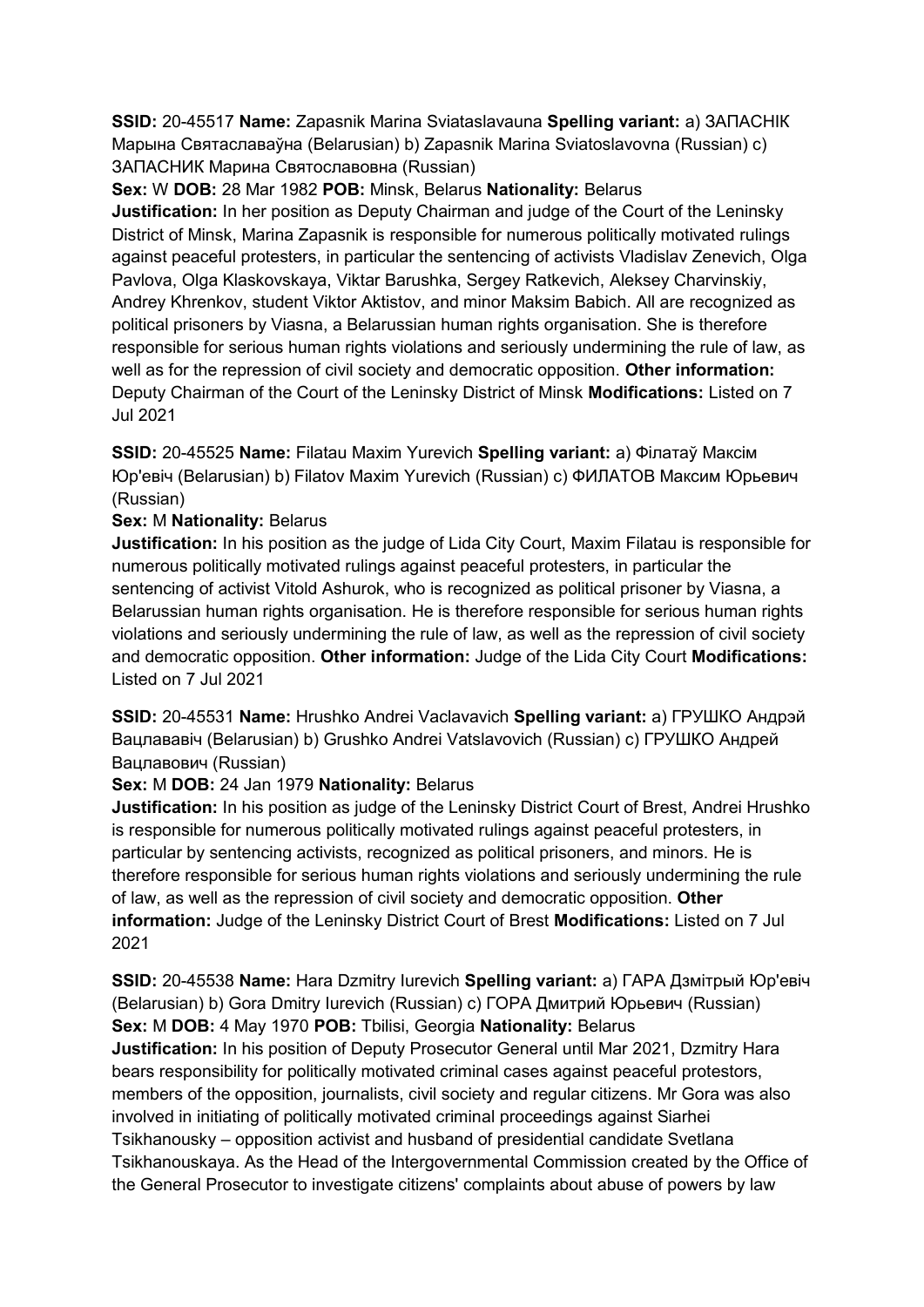**SSID:** 20-45517 **Name:** Zapasnik Marina Sviataslavauna **Spelling variant:** a) ЗАПАСНIК Марына Святаславаўна (Belarusian) b) Zapasnik Marina Sviatoslavovna (Russian) c) ЗАПАСНИК Марина Святославовна (Russian)

**Sex:** W **DOB:** 28 Mar 1982 **POB:** Minsk, Belarus **Nationality:** Belarus

**Justification:** In her position as Deputy Chairman and judge of the Court of the Leninsky District of Minsk, Marina Zapasnik is responsible for numerous politically motivated rulings against peaceful protesters, in particular the sentencing of activists Vladislav Zenevich, Olga Pavlova, Olga Klaskovskaya, Viktar Barushka, Sergey Ratkevich, Aleksey Charvinskiy, Andrey Khrenkov, student Viktor Aktistov, and minor Maksim Babich. All are recognized as political prisoners by Viasna, a Belarussian human rights organisation. She is therefore responsible for serious human rights violations and seriously undermining the rule of law, as well as for the repression of civil society and democratic opposition. **Other information:** Deputy Chairman of the Court of the Leninsky District of Minsk **Modifications:** Listed on 7 Jul 2021

**SSID:** 20-45525 **Name:** Filatau Maxim Yurevich **Spelling variant:** a) Фiлатаў Максiм Юр'евiч (Belarusian) b) Filatov Maxim Yurevich (Russian) c) ФИЛАТОВ Максим Юрьевич (Russian)

# **Sex:** M **Nationality:** Belarus

**Justification:** In his position as the judge of Lida City Court, Maxim Filatau is responsible for numerous politically motivated rulings against peaceful protesters, in particular the sentencing of activist Vitold Ashurok, who is recognized as political prisoner by Viasna, a Belarussian human rights organisation. He is therefore responsible for serious human rights violations and seriously undermining the rule of law, as well as the repression of civil society and democratic opposition. **Other information:** Judge of the Lida City Court **Modifications:**  Listed on 7 Jul 2021

**SSID:** 20-45531 **Name:** Hrushko Andrei Vaclavavich **Spelling variant:** a) ГРУШКО Андрэй Вацлававiч (Belarusian) b) Grushko Andrei Vatslavovich (Russian) c) ГРУШКО Андрей Вацлавович (Russian)

# **Sex:** M **DOB:** 24 Jan 1979 **Nationality:** Belarus

**Justification:** In his position as judge of the Leninsky District Court of Brest, Andrei Hrushko is responsible for numerous politically motivated rulings against peaceful protesters, in particular by sentencing activists, recognized as political prisoners, and minors. He is therefore responsible for serious human rights violations and seriously undermining the rule of law, as well as the repression of civil society and democratic opposition. **Other information:** Judge of the Leninsky District Court of Brest **Modifications:** Listed on 7 Jul 2021

**SSID:** 20-45538 **Name:** Hara Dzmitry Iurevich **Spelling variant:** a) ГАРА Дзмiтрый Юр'евiч (Belarusian) b) Gora Dmitry Iurevich (Russian) c) ГОРА Дмитрий Юрьевич (Russian) **Sex:** M **DOB:** 4 May 1970 **POB:** Tbilisi, Georgia **Nationality:** Belarus **Justification:** In his position of Deputy Prosecutor General until Mar 2021, Dzmitry Hara bears responsibility for politically motivated criminal cases against peaceful protestors, members of the opposition, journalists, civil society and regular citizens. Mr Gora was also involved in initiating of politically motivated criminal proceedings against Siarhei Tsikhanousky – opposition activist and husband of presidential candidate Svetlana Tsikhanouskaya. As the Head of the Intergovernmental Commission created by the Office of the General Prosecutor to investigate citizens' complaints about abuse of powers by law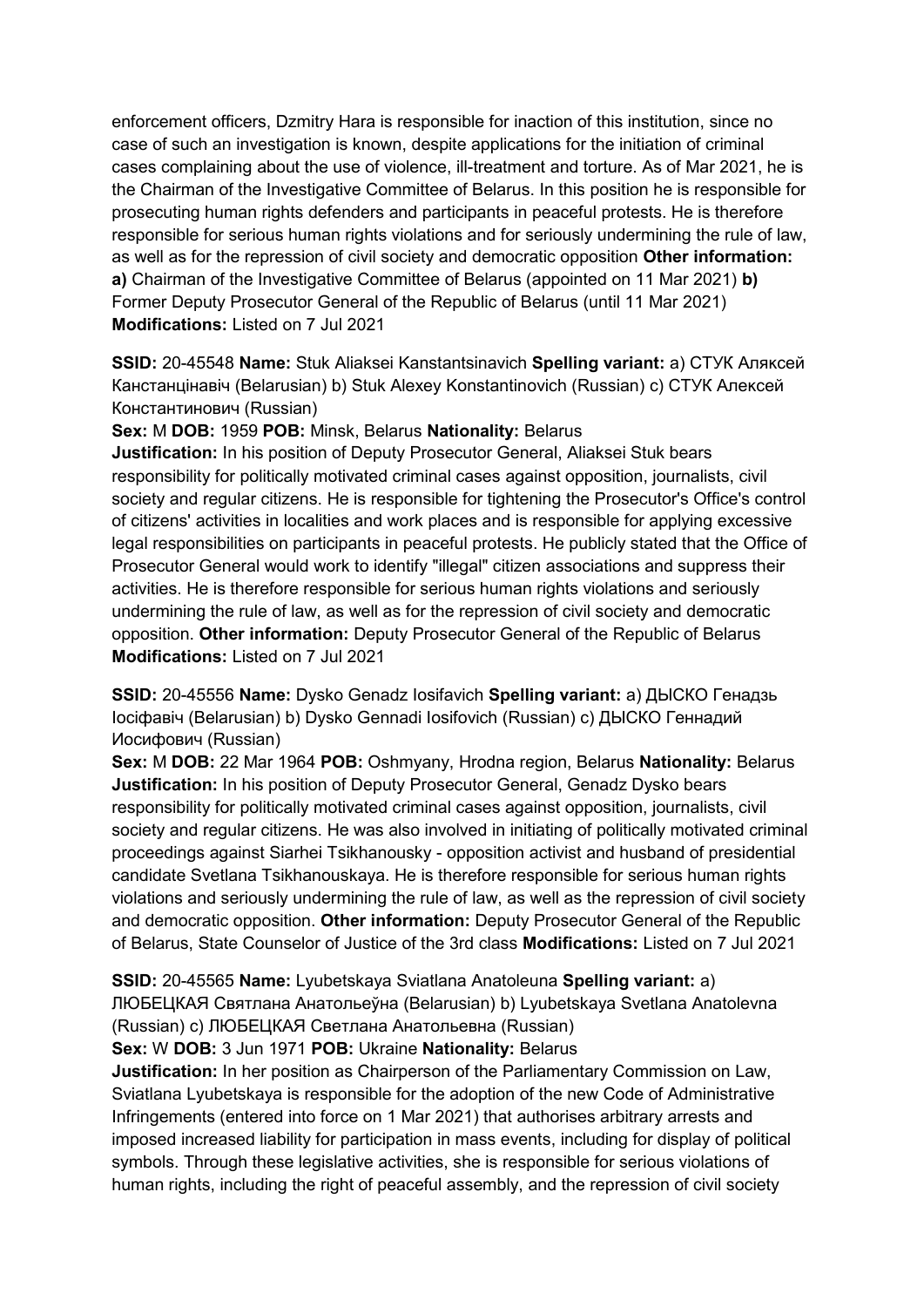enforcement officers, Dzmitry Hara is responsible for inaction of this institution, since no case of such an investigation is known, despite applications for the initiation of criminal cases complaining about the use of violence, ill-treatment and torture. As of Mar 2021, he is the Chairman of the Investigative Committee of Belarus. In this position he is responsible for prosecuting human rights defenders and participants in peaceful protests. He is therefore responsible for serious human rights violations and for seriously undermining the rule of law. as well as for the repression of civil society and democratic opposition **Other information: a)** Chairman of the Investigative Committee of Belarus (appointed on 11 Mar 2021) **b)** Former Deputy Prosecutor General of the Republic of Belarus (until 11 Mar 2021) **Modifications:** Listed on 7 Jul 2021

**SSID:** 20-45548 **Name:** Stuk Aliaksei Kanstantsinavich **Spelling variant:** a) СТУК Аляĸсей Канстанцiнавiч (Belarusian) b) Stuk Alexey Konstantinovich (Russian) c) СТУК Алеĸсей Константинович (Russian)

**Sex:** M **DOB:** 1959 **POB:** Minsk, Belarus **Nationality:** Belarus

**Justification:** In his position of Deputy Prosecutor General, Aliaksei Stuk bears responsibility for politically motivated criminal cases against opposition, journalists, civil society and regular citizens. He is responsible for tightening the Prosecutor's Office's control of citizens' activities in localities and work places and is responsible for applying excessive legal responsibilities on participants in peaceful protests. He publicly stated that the Office of Prosecutor General would work to identify "illegal" citizen associations and suppress their activities. He is therefore responsible for serious human rights violations and seriously undermining the rule of law, as well as for the repression of civil society and democratic opposition. **Other information:** Deputy Prosecutor General of the Republic of Belarus **Modifications:** Listed on 7 Jul 2021

**SSID:** 20-45556 **Name:** Dysko Genadz Iosifavich **Spelling variant:** a) ДЫСКО Генадзь Iосiфавiч (Belarusian) b) Dysko Gennadi Iosifovich (Russian) c) ДЫСКО Геннадий Иосифович (Russian)

**Sex:** M **DOB:** 22 Mar 1964 **POB:** Oshmyany, Hrodna region, Belarus **Nationality:** Belarus **Justification:** In his position of Deputy Prosecutor General, Genadz Dysko bears responsibility for politically motivated criminal cases against opposition, journalists, civil society and regular citizens. He was also involved in initiating of politically motivated criminal proceedings against Siarhei Tsikhanousky - opposition activist and husband of presidential candidate Svetlana Tsikhanouskaya. He is therefore responsible for serious human rights violations and seriously undermining the rule of law, as well as the repression of civil society and democratic opposition. **Other information:** Deputy Prosecutor General of the Republic of Belarus, State Counselor of Justice of the 3rd class **Modifications:** Listed on 7 Jul 2021

#### **SSID:** 20-45565 **Name:** Lyubetskaya Sviatlana Anatoleuna **Spelling variant:** a)

ЛЮБЕЦКАЯ Святлана Анатольеўна (Belarusian) b) Lyubetskaya Svetlana Anatolevna (Russian) c) ЛЮБЕЦКАЯ Светлана Анатольевна (Russian)

#### **Sex:** W **DOB:** 3 Jun 1971 **POB:** Ukraine **Nationality:** Belarus

**Justification:** In her position as Chairperson of the Parliamentary Commission on Law, Sviatlana Lyubetskaya is responsible for the adoption of the new Code of Administrative Infringements (entered into force on 1 Mar 2021) that authorises arbitrary arrests and imposed increased liability for participation in mass events, including for display of political symbols. Through these legislative activities, she is responsible for serious violations of human rights, including the right of peaceful assembly, and the repression of civil society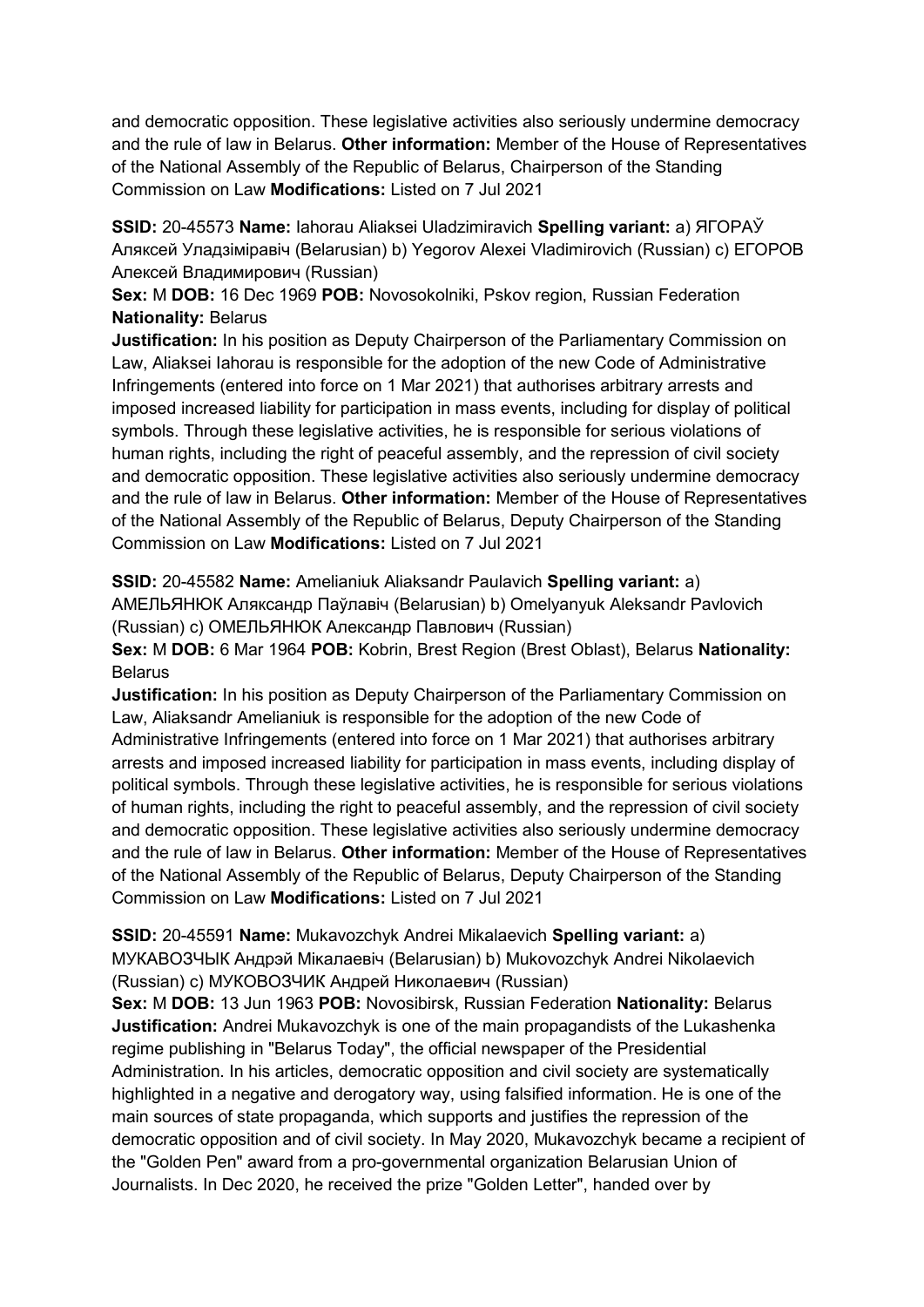and democratic opposition. These legislative activities also seriously undermine democracy and the rule of law in Belarus. **Other information:** Member of the House of Representatives of the National Assembly of the Republic of Belarus, Chairperson of the Standing Commission on Law **Modifications:** Listed on 7 Jul 2021

**SSID:** 20-45573 **Name:** Iahorau Aliaksei Uladzimiravich **Spelling variant:** a) ЯГОРАЎ Аляксей Уладзiмiравiч (Belarusian) b) Yegorov Alexei Vladimirovich (Russian) c) ЕГОРОВ Алексей Владимирович (Russian)

**Sex:** M **DOB:** 16 Dec 1969 **POB:** Novosokolniki, Pskov region, Russian Federation **Nationality:** Belarus

**Justification:** In his position as Deputy Chairperson of the Parliamentary Commission on Law, Aliaksei Iahorau is responsible for the adoption of the new Code of Administrative Infringements (entered into force on 1 Mar 2021) that authorises arbitrary arrests and imposed increased liability for participation in mass events, including for display of political symbols. Through these legislative activities, he is responsible for serious violations of human rights, including the right of peaceful assembly, and the repression of civil society and democratic opposition. These legislative activities also seriously undermine democracy and the rule of law in Belarus. **Other information:** Member of the House of Representatives of the National Assembly of the Republic of Belarus, Deputy Chairperson of the Standing Commission on Law **Modifications:** Listed on 7 Jul 2021

**SSID:** 20-45582 **Name:** Amelianiuk Aliaksandr Paulavich **Spelling variant:** a) АМЕЛЬЯНЮК Аляксандр Паўлавiч (Belarusian) b) Omelyanyuk Aleksandr Pavlovich (Russian) c) ОМЕЛЬЯНЮК Александр Павлович (Russian)

**Sex:** M **DOB:** 6 Mar 1964 **POB:** Kobrin, Brest Region (Brest Oblast), Belarus **Nationality:** Belarus

**Justification:** In his position as Deputy Chairperson of the Parliamentary Commission on Law, Aliaksandr Amelianiuk is responsible for the adoption of the new Code of Administrative Infringements (entered into force on 1 Mar 2021) that authorises arbitrary arrests and imposed increased liability for participation in mass events, including display of political symbols. Through these legislative activities, he is responsible for serious violations of human rights, including the right to peaceful assembly, and the repression of civil society and democratic opposition. These legislative activities also seriously undermine democracy and the rule of law in Belarus. **Other information:** Member of the House of Representatives of the National Assembly of the Republic of Belarus, Deputy Chairperson of the Standing Commission on Law **Modifications:** Listed on 7 Jul 2021

**SSID:** 20-45591 **Name:** Mukavozchyk Andrei Mikalaevich **Spelling variant:** a) МУКАВОЗЧЫК Андрэй Мiĸалаевiч (Belarusian) b) Mukovozchyk Andrei Nikolaevich (Russian) c) МУКОВОЗЧИК Андрей Ниĸолаевич (Russian)

**Sex:** M **DOB:** 13 Jun 1963 **POB:** Novosibirsk, Russian Federation **Nationality:** Belarus **Justification:** Andrei Mukavozchyk is one of the main propagandists of the Lukashenka regime publishing in "Belarus Today", the official newspaper of the Presidential Administration. In his articles, democratic opposition and civil society are systematically highlighted in a negative and derogatory way, using falsified information. He is one of the main sources of state propaganda, which supports and justifies the repression of the democratic opposition and of civil society. In May 2020, Mukavozchyk became a recipient of the "Golden Pen" award from a pro-governmental organization Belarusian Union of Journalists. In Dec 2020, he received the prize "Golden Letter", handed over by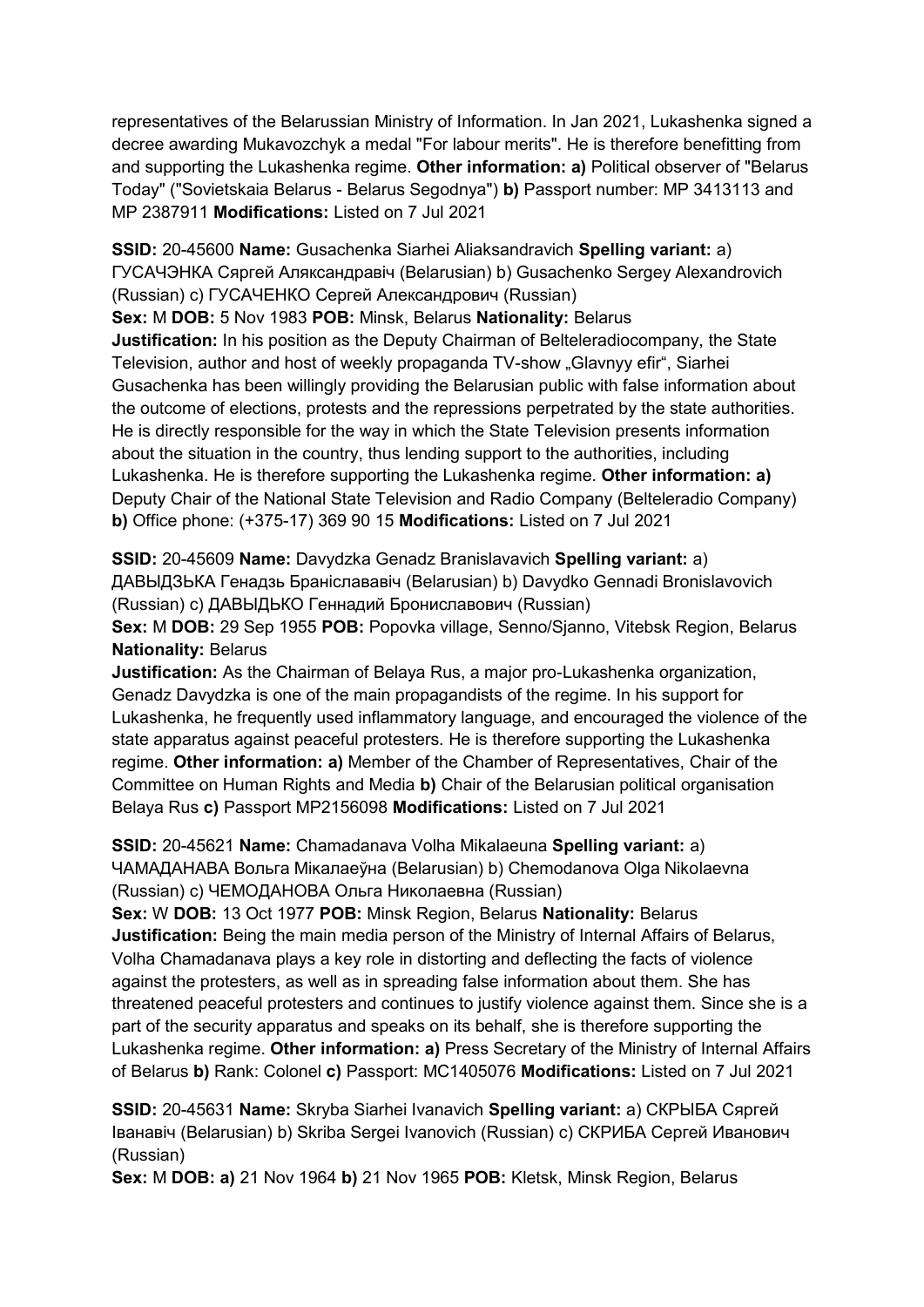representatives of the Belarussian Ministry of Information. In Jan 2021, Lukashenka signed a decree awarding Mukavozchyk a medal "For labour merits". He is therefore benefitting from and supporting the Lukashenka regime. **Other information: a)** Political observer of "Belarus Today" ("Sovietskaia Belarus - Belarus Segodnya") **b)** Passport number: MP 3413113 and MP 2387911 **Modifications:** Listed on 7 Jul 2021

**SSID:** 20-45600 **Name:** Gusachenka Siarhei Aliaksandravich **Spelling variant:** a) ГУСАЧЭНКА Сяргей Аляксандравiч (Belarusian) b) Gusachenko Sergey Alexandrovich (Russian) c) ГУСАЧЕНКО Сергей Александрович (Russian)

**Sex:** M **DOB:** 5 Nov 1983 **POB:** Minsk, Belarus **Nationality:** Belarus

**Justification:** In his position as the Deputy Chairman of Belteleradiocompany, the State Television, author and host of weekly propaganda TV-show "Glavnyy efir", Siarhei Gusachenka has been willingly providing the Belarusian public with false information about the outcome of elections, protests and the repressions perpetrated by the state authorities. He is directly responsible for the way in which the State Television presents information about the situation in the country, thus lending support to the authorities, including Lukashenka. He is therefore supporting the Lukashenka regime. **Other information: a)**  Deputy Chair of the National State Television and Radio Company (Belteleradio Company) **b)** Office phone: (+375-17) 369 90 15 **Modifications:** Listed on 7 Jul 2021

**SSID:** 20-45609 **Name:** Davydzka Genadz Branislavavich **Spelling variant:** a) ДАВЫДЗЬКА Генадзь Бранiслававiч (Belarusian) b) Davydko Gennadi Bronislavovich (Russian) c) ДАВЫДЬКO Геннадий Брониславович (Russian)

**Sex:** M **DOB:** 29 Sep 1955 **POB:** Popovka village, Senno/Sjanno, Vitebsk Region, Belarus **Nationality:** Belarus

**Justification:** As the Chairman of Belaya Rus, a major pro-Lukashenka organization, Genadz Davydzka is one of the main propagandists of the regime. In his support for Lukashenka, he frequently used inflammatory language, and encouraged the violence of the state apparatus against peaceful protesters. He is therefore supporting the Lukashenka regime. **Other information: a)** Member of the Chamber of Representatives, Chair of the Committee on Human Rights and Media **b)** Chair of the Belarusian political organisation Belaya Rus **c)** Passport MP2156098 **Modifications:** Listed on 7 Jul 2021

**SSID:** 20-45621 **Name:** Chamadanava Volha Mikalaeuna **Spelling variant:** a) ЧАМАДАНАВА Вольга Мiĸалаеўна (Belarusian) b) Chemodanova Olga Nikolaevna (Russian) c) ЧЕМОДАНОВА Ольга Ниĸолаевна (Russian)

**Sex:** W **DOB:** 13 Oct 1977 **POB:** Minsk Region, Belarus **Nationality:** Belarus **Justification:** Being the main media person of the Ministry of Internal Affairs of Belarus, Volha Chamadanava plays a key role in distorting and deflecting the facts of violence against the protesters, as well as in spreading false information about them. She has threatened peaceful protesters and continues to justify violence against them. Since she is a part of the security apparatus and speaks on its behalf, she is therefore supporting the Lukashenka regime. **Other information: a)** Press Secretary of the Ministry of Internal Affairs of Belarus **b)** Rank: Colonel **c)** Passport: MC1405076 **Modifications:** Listed on 7 Jul 2021

**SSID:** 20-45631 **Name:** Skryba Siarhei Ivanavich **Spelling variant:** a) СКРЫБА Сяргей Iванавiч (Belarusian) b) Skriba Sergei Ivanovich (Russian) c) СКРИБА Сергей Иванович (Russian)

**Sex:** M **DOB: a)** 21 Nov 1964 **b)** 21 Nov 1965 **POB:** Kletsk, Minsk Region, Belarus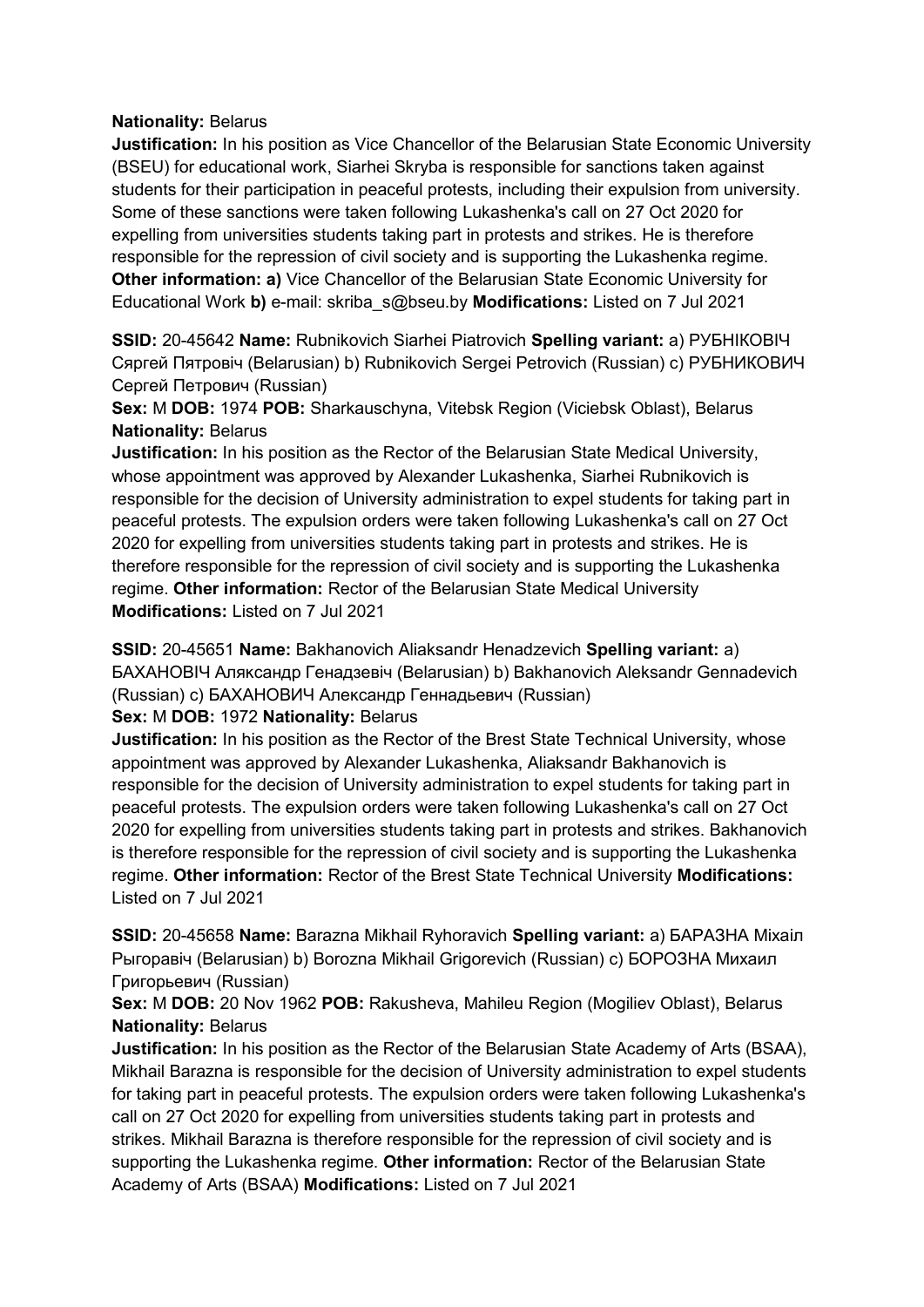## **Nationality:** Belarus

**Justification:** In his position as Vice Chancellor of the Belarusian State Economic University (BSEU) for educational work, Siarhei Skryba is responsible for sanctions taken against students for their participation in peaceful protests, including their expulsion from university. Some of these sanctions were taken following Lukashenka's call on 27 Oct 2020 for expelling from universities students taking part in protests and strikes. He is therefore responsible for the repression of civil society and is supporting the Lukashenka regime. **Other information: a)** Vice Chancellor of the Belarusian State Economic University for Educational Work **b)** e-mail: skriba\_s@bseu.by **Modifications:** Listed on 7 Jul 2021

**SSID:** 20-45642 **Name:** Rubnikovich Siarhei Piatrovich **Spelling variant:** a) РУБНIКОВIЧ Сяргей Пятровiч (Belarusian) b) Rubnikovich Sergei Petrovich (Russian) c) РУБНИКОВИЧ Сергей Петрович (Russian)

**Sex:** M **DOB:** 1974 **POB:** Sharkauschyna, Vitebsk Region (Viciebsk Oblast), Belarus **Nationality:** Belarus

**Justification:** In his position as the Rector of the Belarusian State Medical University, whose appointment was approved by Alexander Lukashenka, Siarhei Rubnikovich is responsible for the decision of University administration to expel students for taking part in peaceful protests. The expulsion orders were taken following Lukashenka's call on 27 Oct 2020 for expelling from universities students taking part in protests and strikes. He is therefore responsible for the repression of civil society and is supporting the Lukashenka regime. **Other information:** Rector of the Belarusian State Medical University **Modifications:** Listed on 7 Jul 2021

**SSID:** 20-45651 **Name:** Bakhanovich Aliaksandr Henadzevich **Spelling variant:** a) БАХАНОВIЧ Аляĸсандр Генадзевiч (Belarusian) b) Bakhanovich Aleksandr Gennadevich (Russian) с) БАХАНОВИЧ Александр Геннадьевич (Russian)

**Sex:** M **DOB:** 1972 **Nationality:** Belarus

**Justification:** In his position as the Rector of the Brest State Technical University, whose appointment was approved by Alexander Lukashenka, Aliaksandr Bakhanovich is responsible for the decision of University administration to expel students for taking part in peaceful protests. The expulsion orders were taken following Lukashenka's call on 27 Oct 2020 for expelling from universities students taking part in protests and strikes. Bakhanovich is therefore responsible for the repression of civil society and is supporting the Lukashenka regime. **Other information:** Rector of the Brest State Technical University **Modifications:**  Listed on 7 Jul 2021

**SSID:** 20-45658 **Name:** Barazna Mikhail Ryhoravich **Spelling variant:** a) БАРАЗНА Мiхаiл Рыгоравiч (Belarusian) b) Borozna Mikhail Grigorevich (Russian) c) БОРОЗНА Михаил Григорьевич (Russian)

**Sex:** M **DOB:** 20 Nov 1962 **POB:** Rakusheva, Mahileu Region (Mogiliev Oblast), Belarus **Nationality:** Belarus

**Justification:** In his position as the Rector of the Belarusian State Academy of Arts (BSAA), Mikhail Barazna is responsible for the decision of University administration to expel students for taking part in peaceful protests. The expulsion orders were taken following Lukashenka's call on 27 Oct 2020 for expelling from universities students taking part in protests and strikes. Mikhail Barazna is therefore responsible for the repression of civil society and is supporting the Lukashenka regime. **Other information:** Rector of the Belarusian State Academy of Arts (BSAA) **Modifications:** Listed on 7 Jul 2021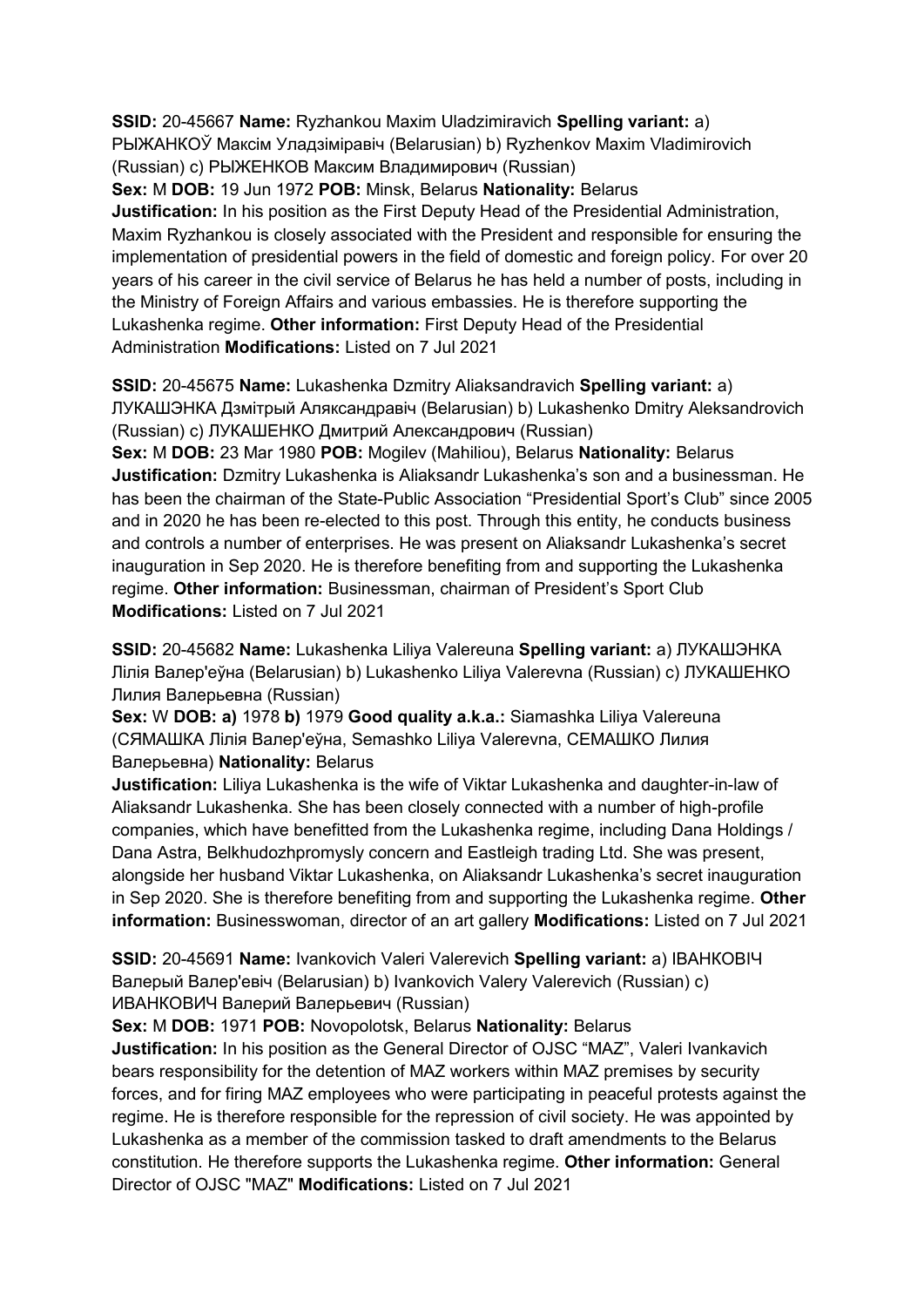**SSID:** 20-45667 **Name:** Ryzhankou Maxim Uladzimiravich **Spelling variant:** a) РЫЖАНКОЎ Максiм Уладзiмiравiч (Belarusian) b) Ryzhenkov Maxim Vladimirovich (Russian) c) РЫЖЕНКОВ Максим Владимирович (Russian)

**Sex:** M **DOB:** 19 Jun 1972 **POB:** Minsk, Belarus **Nationality:** Belarus **Justification:** In his position as the First Deputy Head of the Presidential Administration, Maxim Ryzhankou is closely associated with the President and responsible for ensuring the implementation of presidential powers in the field of domestic and foreign policy. For over 20 years of his career in the civil service of Belarus he has held a number of posts, including in the Ministry of Foreign Affairs and various embassies. He is therefore supporting the Lukashenka regime. **Other information:** First Deputy Head of the Presidential Administration **Modifications:** Listed on 7 Jul 2021

**SSID:** 20-45675 **Name:** Lukashenka Dzmitry Aliaksandravich **Spelling variant:** a) ЛУКАШЭНКА Дзмiтрый Аляксандравiч (Belarusian) b) Lukashenko Dmitry Aleksandrovich (Russian) c) ЛУКАШЕНКО Дмитрий Александрович (Russian)

**Sex:** M **DOB:** 23 Mar 1980 **POB:** Mogilev (Mahiliou), Belarus **Nationality:** Belarus **Justification:** Dzmitry Lukashenka is Aliaksandr Lukashenka's son and a businessman. He has been the chairman of the State-Public Association "Presidential Sport's Club" since 2005 and in 2020 he has been re-elected to this post. Through this entity, he conducts business and controls a number of enterprises. He was present on Aliaksandr Lukashenka's secret inauguration in Sep 2020. He is therefore benefiting from and supporting the Lukashenka regime. **Other information:** Businessman, chairman of President's Sport Club **Modifications:** Listed on 7 Jul 2021

**SSID:** 20-45682 **Name:** Lukashenka Liliya Valereuna **Spelling variant:** a) ЛУКАШЭНКА Лiлiя Валер'еўна (Belarusian) b) Lukashenko Liliya Valerevna (Russian) c) ЛУКАШЕНКО Лилия Валерьевна (Russian)

**Sex:** W **DOB: a)** 1978 **b)** 1979 **Good quality a.k.a.:** Siamashka Liliya Valereuna (СЯМАШКА Лiлiя Валер'еўна, Semashko Liliya Valerevna, СЕМАШКО Лилия Валерьевна) **Nationality:** Belarus

**Justification:** Liliya Lukashenka is the wife of Viktar Lukashenka and daughter-in-law of Aliaksandr Lukashenka. She has been closely connected with a number of high-profile companies, which have benefitted from the Lukashenka regime, including Dana Holdings / Dana Astra, Belkhudozhpromysly concern and Eastleigh trading Ltd. She was present, alongside her husband Viktar Lukashenka, on Aliaksandr Lukashenka's secret inauguration in Sep 2020. She is therefore benefiting from and supporting the Lukashenka regime. **Other information:** Businesswoman, director of an art gallery **Modifications:** Listed on 7 Jul 2021

**SSID:** 20-45691 **Name:** Ivankovich Valeri Valerevich **Spelling variant:** a) IВАНКОВIЧ Валерый Валер'евiч (Belarusian) b) Ivankovich Valery Valerevich (Russian) c) ИВАНКОВИЧ Валерий Валерьевич (Russian)

**Sex:** M **DOB:** 1971 **POB:** Novopolotsk, Belarus **Nationality:** Belarus

**Justification:** In his position as the General Director of OJSC "MAZ", Valeri Ivankavich bears responsibility for the detention of MAZ workers within MAZ premises by security forces, and for firing MAZ employees who were participating in peaceful protests against the regime. He is therefore responsible for the repression of civil society. He was appointed by Lukashenka as a member of the commission tasked to draft amendments to the Belarus constitution. He therefore supports the Lukashenka regime. **Other information:** General Director of OJSC "MAZ" **Modifications:** Listed on 7 Jul 2021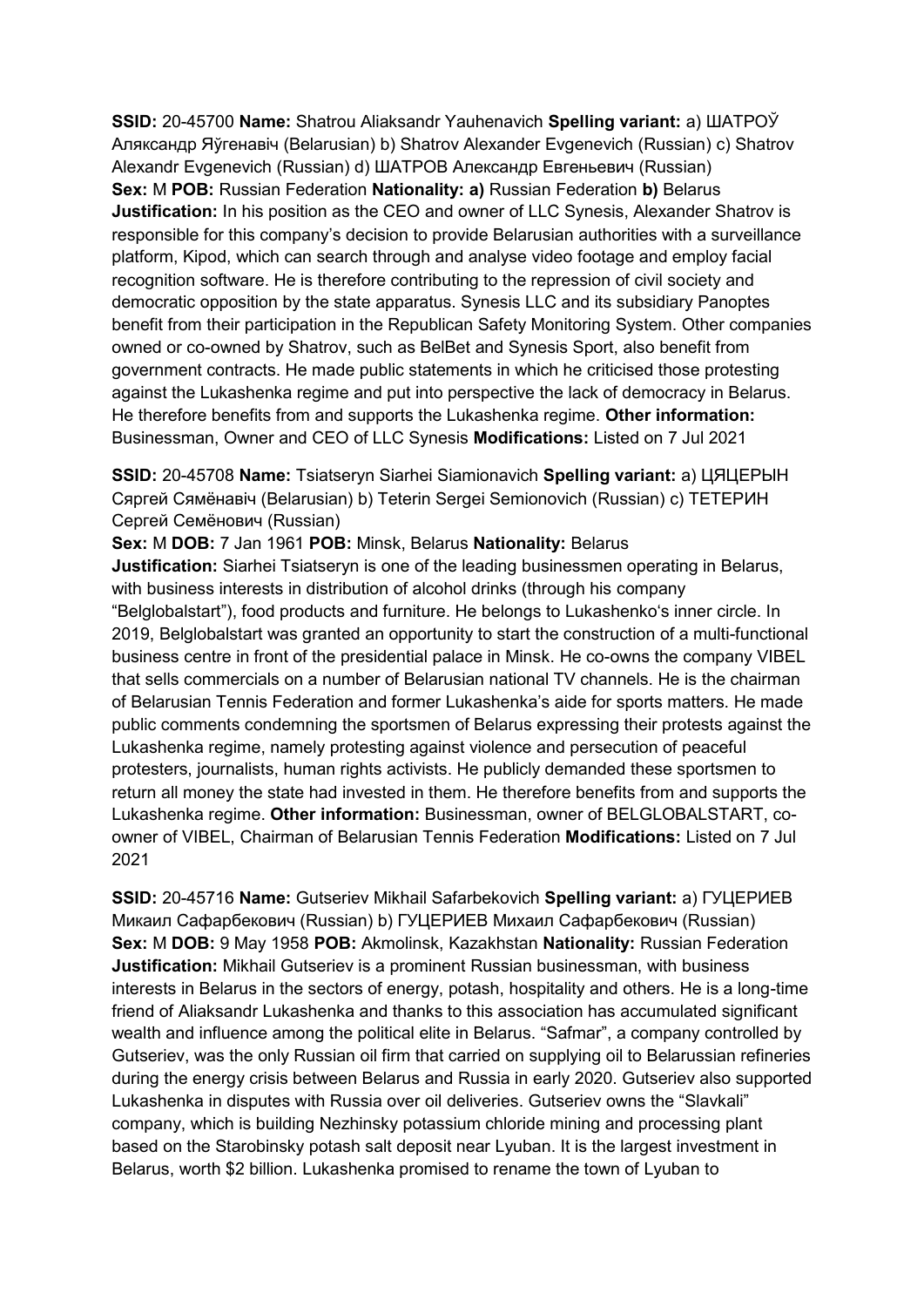**SSID:** 20-45700 **Name:** Shatrou Aliaksandr Yauhenavich **Spelling variant:** a) ШАТРОЎ Аляксандр Яўгенавiч (Belarusian) b) Shatrov Alexander Evgenevich (Russian) c) Shatrov Alexandr Evgenevich (Russian) d) ШАТРОВ Александр Евгеньевич (Russian) **Sex:** M **POB:** Russian Federation **Nationality: a)** Russian Federation **b)** Belarus **Justification:** In his position as the CEO and owner of LLC Synesis, Alexander Shatrov is responsible for this company's decision to provide Belarusian authorities with a surveillance platform, Kipod, which can search through and analyse video footage and employ facial recognition software. He is therefore contributing to the repression of civil society and democratic opposition by the state apparatus. Synesis LLC and its subsidiary Panoptes benefit from their participation in the Republican Safety Monitoring System. Other companies owned or co-owned by Shatrov, such as BelBet and Synesis Sport, also benefit from government contracts. He made public statements in which he criticised those protesting against the Lukashenka regime and put into perspective the lack of democracy in Belarus. He therefore benefits from and supports the Lukashenka regime. **Other information:** Businessman, Owner and CEO of LLC Synesis **Modifications:** Listed on 7 Jul 2021

**SSID:** 20-45708 **Name:** Tsiatseryn Siarhei Siamionavich **Spelling variant:** a) ЦЯЦЕРЫН Сяргей Сямёнавiч (Belarusian) b) Teterin Sergei Semionovich (Russian) c) ТЕТЕРИН Сергей Семёнович (Russian)

**Sex:** M **DOB:** 7 Jan 1961 **POB:** Minsk, Belarus **Nationality:** Belarus

**Justification:** Siarhei Tsiatseryn is one of the leading businessmen operating in Belarus, with business interests in distribution of alcohol drinks (through his company "Belglobalstart"), food products and furniture. He belongs to Lukashenko's inner circle. In 2019, Belglobalstart was granted an opportunity to start the construction of a multi-functional business centre in front of the presidential palace in Minsk. He co-owns the company VIBEL that sells commercials on a number of Belarusian national TV channels. He is the chairman of Belarusian Tennis Federation and former Lukashenka's aide for sports matters. He made public comments condemning the sportsmen of Belarus expressing their protests against the Lukashenka regime, namely protesting against violence and persecution of peaceful protesters, journalists, human rights activists. He publicly demanded these sportsmen to return all money the state had invested in them. He therefore benefits from and supports the Lukashenka regime. **Other information:** Businessman, owner of BELGLOBALSTART, coowner of VIBEL, Chairman of Belarusian Tennis Federation **Modifications:** Listed on 7 Jul 2021

**SSID:** 20-45716 **Name:** Gutseriev Mikhail Safarbekovich **Spelling variant:** a) ГУЦЕРИЕВ Микаил Сафарбекович (Russian) b) ГУЦЕРИЕВ Михаил Сафарбекович (Russian) **Sex:** M **DOB:** 9 May 1958 **POB:** Akmolinsk, Kazakhstan **Nationality:** Russian Federation **Justification:** Mikhail Gutseriev is a prominent Russian businessman, with business interests in Belarus in the sectors of energy, potash, hospitality and others. He is a long-time friend of Aliaksandr Lukashenka and thanks to this association has accumulated significant wealth and influence among the political elite in Belarus. "Safmar", a company controlled by Gutseriev, was the only Russian oil firm that carried on supplying oil to Belarussian refineries during the energy crisis between Belarus and Russia in early 2020. Gutseriev also supported Lukashenka in disputes with Russia over oil deliveries. Gutseriev owns the "Slavkali" company, which is building Nezhinsky potassium chloride mining and processing plant based on the Starobinsky potash salt deposit near Lyuban. It is the largest investment in Belarus, worth \$2 billion. Lukashenka promised to rename the town of Lyuban to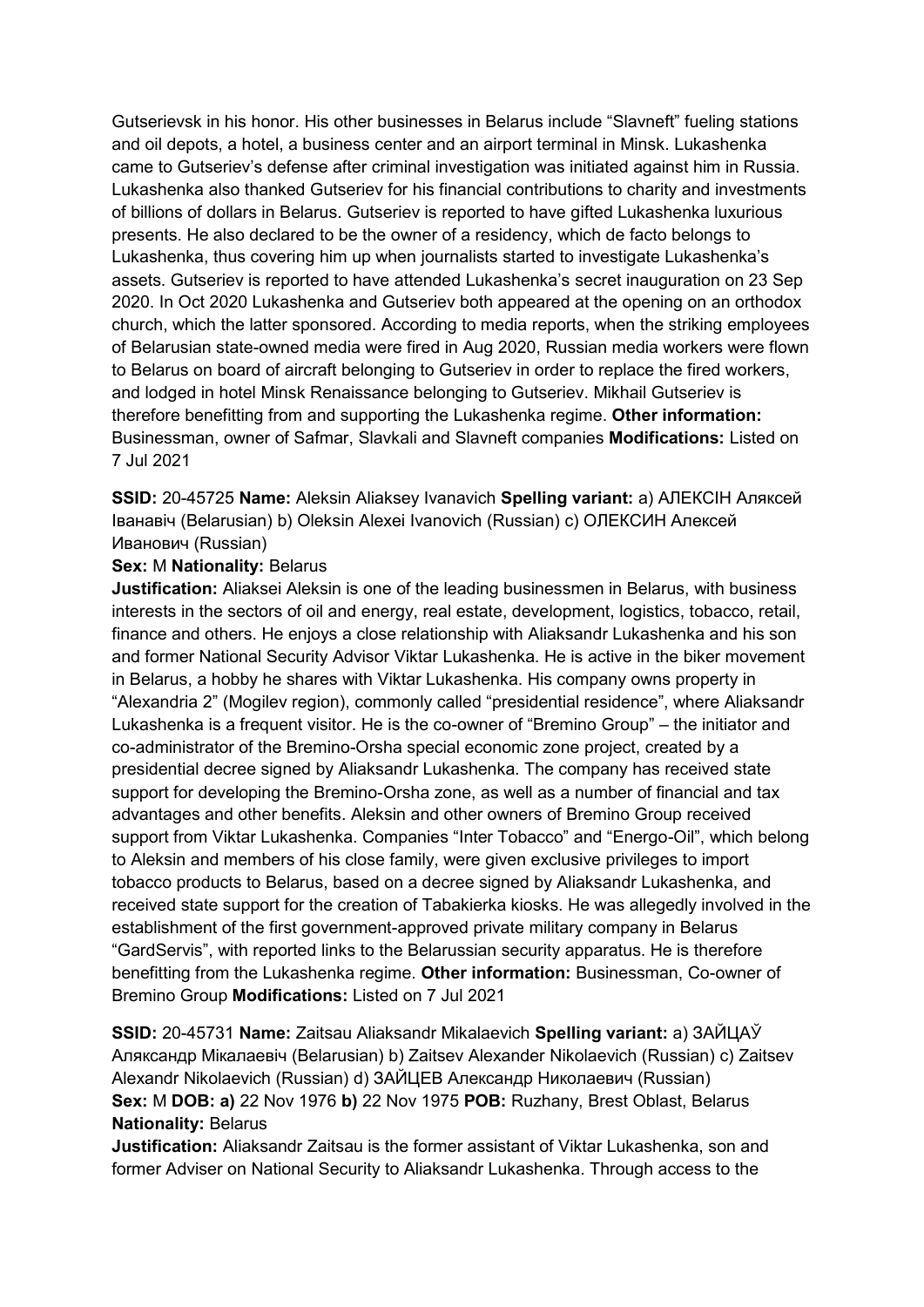Gutserievsk in his honor. His other businesses in Belarus include "Slavneft" fueling stations and oil depots, a hotel, a business center and an airport terminal in Minsk. Lukashenka came to Gutseriev's defense after criminal investigation was initiated against him in Russia. Lukashenka also thanked Gutseriev for his financial contributions to charity and investments of billions of dollars in Belarus. Gutseriev is reported to have gifted Lukashenka luxurious presents. He also declared to be the owner of a residency, which de facto belongs to Lukashenka, thus covering him up when journalists started to investigate Lukashenka's assets. Gutseriev is reported to have attended Lukashenka's secret inauguration on 23 Sep 2020. In Oct 2020 Lukashenka and Gutseriev both appeared at the opening on an orthodox church, which the latter sponsored. According to media reports, when the striking employees of Belarusian state-owned media were fired in Aug 2020, Russian media workers were flown to Belarus on board of aircraft belonging to Gutseriev in order to replace the fired workers, and lodged in hotel Minsk Renaissance belonging to Gutseriev. Mikhail Gutseriev is therefore benefitting from and supporting the Lukashenka regime. **Other information:** Businessman, owner of Safmar, Slavkali and Slavneft companies **Modifications:** Listed on 7 Jul 2021

**SSID:** 20-45725 **Name:** Aleksin Aliaksey Ivanavich **Spelling variant:** a) АЛЕКСIН Аляксей Iванавiч (Belarusian) b) Oleksin Alexei Ivanovich (Russian) c) ОЛЕКСИН Алексей Иванович (Russian)

## **Sex:** M **Nationality:** Belarus

**Justification:** Aliaksei Aleksin is one of the leading businessmen in Belarus, with business interests in the sectors of oil and energy, real estate, development, logistics, tobacco, retail, finance and others. He enjoys a close relationship with Aliaksandr Lukashenka and his son and former National Security Advisor Viktar Lukashenka. He is active in the biker movement in Belarus, a hobby he shares with Viktar Lukashenka. His company owns property in "Alexandria 2" (Mogilev region), commonly called "presidential residence", where Aliaksandr Lukashenka is a frequent visitor. He is the co-owner of "Bremino Group" – the initiator and co-administrator of the Bremino-Orsha special economic zone project, created by a presidential decree signed by Aliaksandr Lukashenka. The company has received state support for developing the Bremino-Orsha zone, as well as a number of financial and tax advantages and other benefits. Aleksin and other owners of Bremino Group received support from Viktar Lukashenka. Companies "Inter Tobacco" and "Energo-Oil", which belong to Aleksin and members of his close family, were given exclusive privileges to import tobacco products to Belarus, based on a decree signed by Aliaksandr Lukashenka, and received state support for the creation of Tabakierka kiosks. He was allegedly involved in the establishment of the first government-approved private military company in Belarus "GardServis", with reported links to the Belarussian security apparatus. He is therefore benefitting from the Lukashenka regime. **Other information:** Businessman, Co-owner of Bremino Group **Modifications:** Listed on 7 Jul 2021

**SSID:** 20-45731 **Name:** Zaitsau Aliaksandr Mikalaevich **Spelling variant:** a) ЗАЙЦАЎ Аляксандр Мiкалаевiч (Belarusian) b) Zaitsev Alexander Nikolaevich (Russian) c) Zaitsev Alexandr Nikolaevich (Russian) d) ЗАЙЦЕВ Александр Николаевич (Russian) **Sex:** M **DOB: a)** 22 Nov 1976 **b)** 22 Nov 1975 **POB:** Ruzhany, Brest Oblast, Belarus **Nationality:** Belarus

**Justification:** Aliaksandr Zaitsau is the former assistant of Viktar Lukashenka, son and former Adviser on National Security to Aliaksandr Lukashenka. Through access to the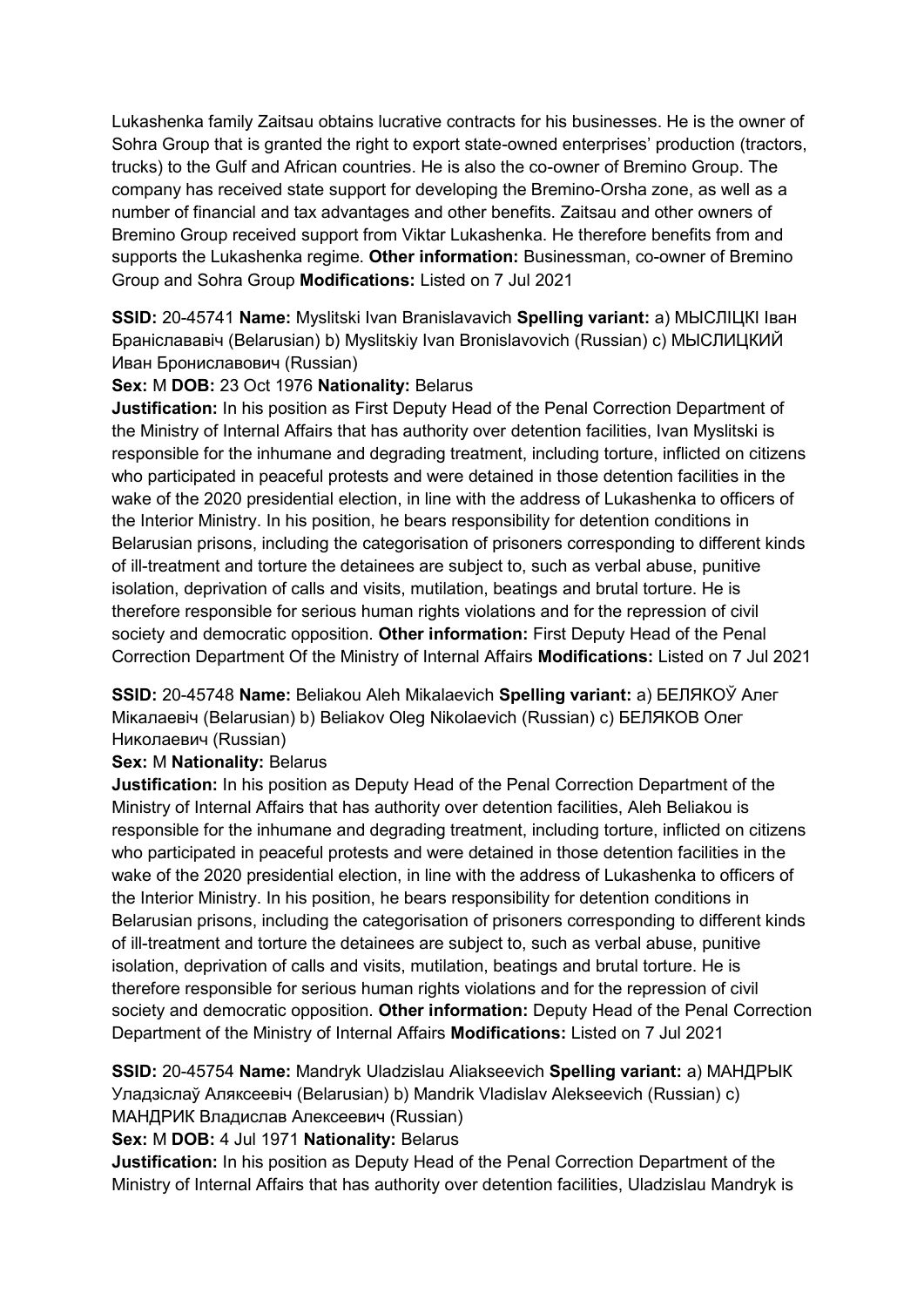Lukashenka family Zaitsau obtains lucrative contracts for his businesses. He is the owner of Sohra Group that is granted the right to export state-owned enterprises' production (tractors, trucks) to the Gulf and African countries. He is also the co-owner of Bremino Group. The company has received state support for developing the Bremino-Orsha zone, as well as a number of financial and tax advantages and other benefits. Zaitsau and other owners of Bremino Group received support from Viktar Lukashenka. He therefore benefits from and supports the Lukashenka regime. **Other information:** Businessman, co-owner of Bremino Group and Sohra Group **Modifications:** Listed on 7 Jul 2021

**SSID:** 20-45741 **Name:** Myslitski Ivan Branislavavich **Spelling variant:** a) МЫСЛIЦКI Iван Бранiслававiч (Belarusian) b) Myslitskiy Ivan Bronislavovich (Russian) c) МЫСЛИЦКИЙ Иван Брониславович (Russian)

## **Sex:** M **DOB:** 23 Oct 1976 **Nationality:** Belarus

**Justification:** In his position as First Deputy Head of the Penal Correction Department of the Ministry of Internal Affairs that has authority over detention facilities, Ivan Myslitski is responsible for the inhumane and degrading treatment, including torture, inflicted on citizens who participated in peaceful protests and were detained in those detention facilities in the wake of the 2020 presidential election, in line with the address of Lukashenka to officers of the Interior Ministry. In his position, he bears responsibility for detention conditions in Belarusian prisons, including the categorisation of prisoners corresponding to different kinds of ill-treatment and torture the detainees are subject to, such as verbal abuse, punitive isolation, deprivation of calls and visits, mutilation, beatings and brutal torture. He is therefore responsible for serious human rights violations and for the repression of civil society and democratic opposition. **Other information:** First Deputy Head of the Penal Correction Department Of the Ministry of Internal Affairs **Modifications:** Listed on 7 Jul 2021

**SSID:** 20-45748 **Name:** Beliakou Aleh Mikalaevich **Spelling variant:** a) БЕЛЯКОЎ Алег Мiĸалаевiч (Belarusian) b) Beliakov Oleg Nikolaevich (Russian) c) БЕЛЯКОВ Олег Николаевич (Russian)

# **Sex:** M **Nationality:** Belarus

**Justification:** In his position as Deputy Head of the Penal Correction Department of the Ministry of Internal Affairs that has authority over detention facilities, Aleh Beliakou is responsible for the inhumane and degrading treatment, including torture, inflicted on citizens who participated in peaceful protests and were detained in those detention facilities in the wake of the 2020 presidential election, in line with the address of Lukashenka to officers of the Interior Ministry. In his position, he bears responsibility for detention conditions in Belarusian prisons, including the categorisation of prisoners corresponding to different kinds of ill-treatment and torture the detainees are subject to, such as verbal abuse, punitive isolation, deprivation of calls and visits, mutilation, beatings and brutal torture. He is therefore responsible for serious human rights violations and for the repression of civil society and democratic opposition. **Other information:** Deputy Head of the Penal Correction Department of the Ministry of Internal Affairs **Modifications:** Listed on 7 Jul 2021

**SSID:** 20-45754 **Name:** Mandryk Uladzislau Aliakseevich **Spelling variant:** a) МАНДРЫК Уладзiслаў Аляксеевiч (Belarusian) b) Mandrik Vladislav Alekseevich (Russian) c) МАНДРИК Владислав Алексеевич (Russian)

**Sex:** M **DOB:** 4 Jul 1971 **Nationality:** Belarus

**Justification:** In his position as Deputy Head of the Penal Correction Department of the Ministry of Internal Affairs that has authority over detention facilities, Uladzislau Mandryk is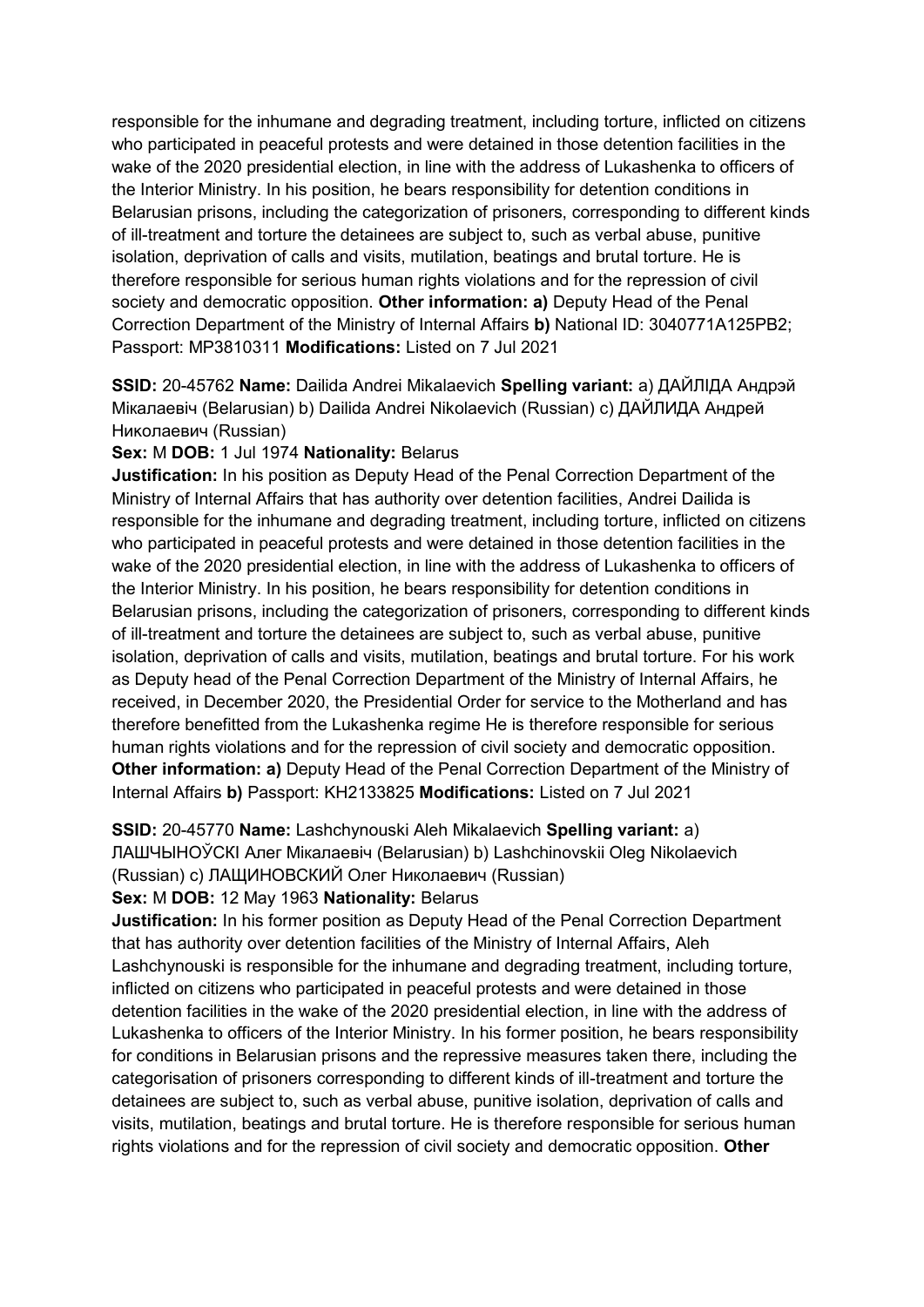responsible for the inhumane and degrading treatment, including torture, inflicted on citizens who participated in peaceful protests and were detained in those detention facilities in the wake of the 2020 presidential election, in line with the address of Lukashenka to officers of the Interior Ministry. In his position, he bears responsibility for detention conditions in Belarusian prisons, including the categorization of prisoners, corresponding to different kinds of ill-treatment and torture the detainees are subject to, such as verbal abuse, punitive isolation, deprivation of calls and visits, mutilation, beatings and brutal torture. He is therefore responsible for serious human rights violations and for the repression of civil society and democratic opposition. **Other information: a)** Deputy Head of the Penal Correction Department of the Ministry of Internal Affairs **b)** National ID: 3040771A125PB2; Passport: MP3810311 **Modifications:** Listed on 7 Jul 2021

**SSID:** 20-45762 **Name:** Dailida Andrei Mikalaevich **Spelling variant:** a) ДАЙЛIДА Андрэй Мiкалаевiч (Belarusian) b) Dailida Andrei Nikolaevich (Russian) c) ДАЙЛИДА Андрей Николаевич (Russian)

## **Sex:** M **DOB:** 1 Jul 1974 **Nationality:** Belarus

**Justification:** In his position as Deputy Head of the Penal Correction Department of the Ministry of Internal Affairs that has authority over detention facilities, Andrei Dailida is responsible for the inhumane and degrading treatment, including torture, inflicted on citizens who participated in peaceful protests and were detained in those detention facilities in the wake of the 2020 presidential election, in line with the address of Lukashenka to officers of the Interior Ministry. In his position, he bears responsibility for detention conditions in Belarusian prisons, including the categorization of prisoners, corresponding to different kinds of ill-treatment and torture the detainees are subject to, such as verbal abuse, punitive isolation, deprivation of calls and visits, mutilation, beatings and brutal torture. For his work as Deputy head of the Penal Correction Department of the Ministry of Internal Affairs, he received, in December 2020, the Presidential Order for service to the Motherland and has therefore benefitted from the Lukashenka regime He is therefore responsible for serious human rights violations and for the repression of civil society and democratic opposition. **Other information: a)** Deputy Head of the Penal Correction Department of the Ministry of Internal Affairs **b)** Passport: KH2133825 **Modifications:** Listed on 7 Jul 2021

**SSID:** 20-45770 **Name:** Lashchynouski Aleh Mikalaevich **Spelling variant:** a) ЛАШЧЫНОЎСКI Алег Мiкалаевiч (Belarusian) b) Lashchinovskii Oleg Nikolaevich (Russian) c) ЛАЩИНОВСКИЙ Олег Николаевич (Russian)

#### **Sex:** M **DOB:** 12 May 1963 **Nationality:** Belarus

**Justification:** In his former position as Deputy Head of the Penal Correction Department that has authority over detention facilities of the Ministry of Internal Affairs, Aleh Lashchynouski is responsible for the inhumane and degrading treatment, including torture, inflicted on citizens who participated in peaceful protests and were detained in those detention facilities in the wake of the 2020 presidential election, in line with the address of Lukashenka to officers of the Interior Ministry. In his former position, he bears responsibility for conditions in Belarusian prisons and the repressive measures taken there, including the categorisation of prisoners corresponding to different kinds of ill-treatment and torture the detainees are subject to, such as verbal abuse, punitive isolation, deprivation of calls and visits, mutilation, beatings and brutal torture. He is therefore responsible for serious human rights violations and for the repression of civil society and democratic opposition. **Other**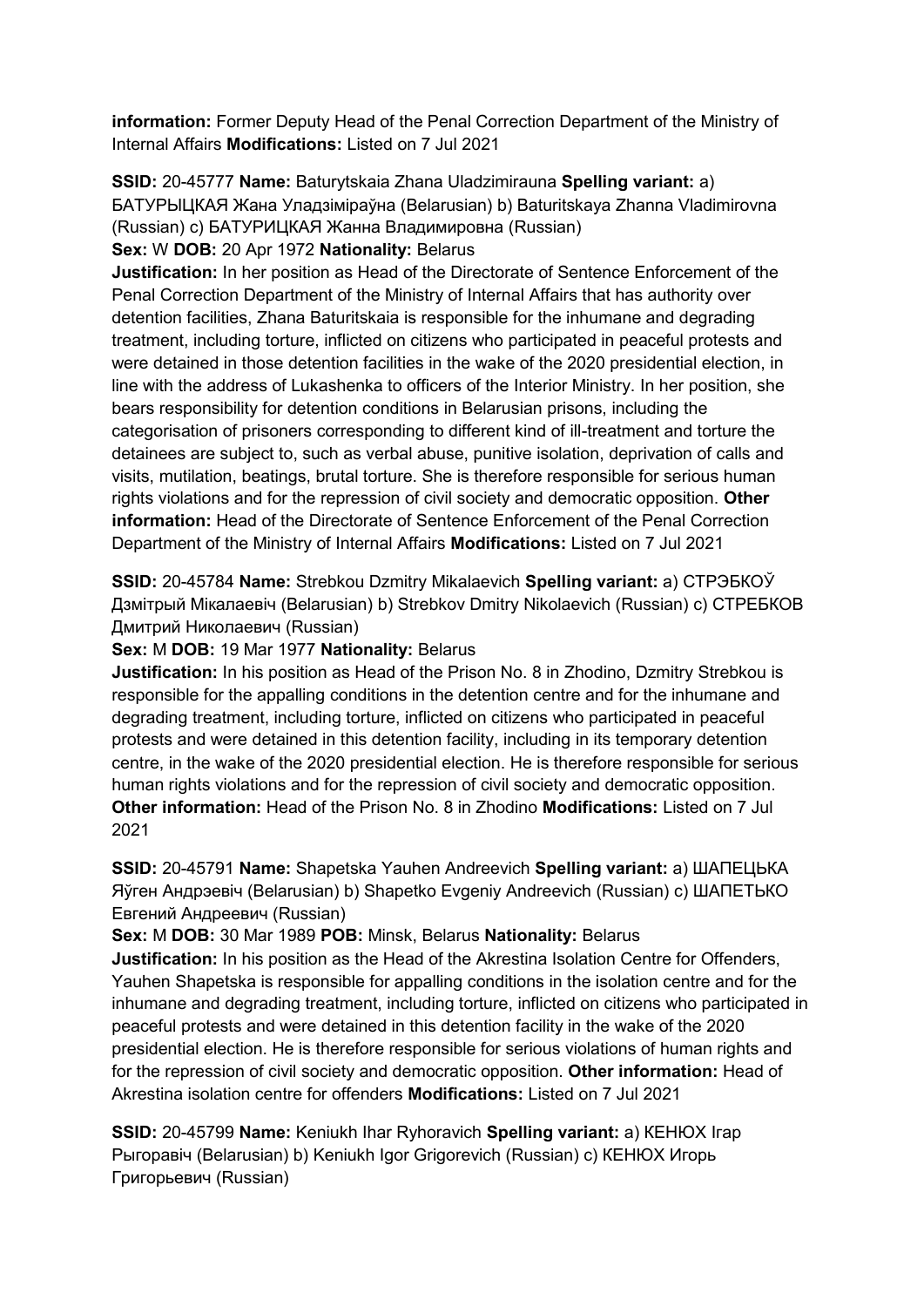**information:** Former Deputy Head of the Penal Correction Department of the Ministry of Internal Affairs **Modifications:** Listed on 7 Jul 2021

**SSID:** 20-45777 **Name:** Baturytskaia Zhana Uladzimirauna **Spelling variant:** a) БАТУРЫЦКАЯ Жана Уладзiмiраўна (Belarusian) b) Baturitskaya Zhanna Vladimirovna (Russian) c) БАТУРИЦКАЯ Жанна Владимировна (Russian)

## **Sex:** W **DOB:** 20 Apr 1972 **Nationality:** Belarus

**Justification:** In her position as Head of the Directorate of Sentence Enforcement of the Penal Correction Department of the Ministry of Internal Affairs that has authority over detention facilities, Zhana Baturitskaia is responsible for the inhumane and degrading treatment, including torture, inflicted on citizens who participated in peaceful protests and were detained in those detention facilities in the wake of the 2020 presidential election, in line with the address of Lukashenka to officers of the Interior Ministry. In her position, she bears responsibility for detention conditions in Belarusian prisons, including the categorisation of prisoners corresponding to different kind of ill-treatment and torture the detainees are subject to, such as verbal abuse, punitive isolation, deprivation of calls and visits, mutilation, beatings, brutal torture. She is therefore responsible for serious human rights violations and for the repression of civil society and democratic opposition. **Other information:** Head of the Directorate of Sentence Enforcement of the Penal Correction Department of the Ministry of Internal Affairs **Modifications:** Listed on 7 Jul 2021

**SSID:** 20-45784 **Name:** Strebkou Dzmitry Mikalaevich **Spelling variant:** a) СТРЭБКОЎ Дзмiтрый Мiкалаевiч (Belarusian) b) Strebkov Dmitry Nikolaevich (Russian) c) СТРЕБКОВ Дмитрий Николаевич (Russian)

**Sex:** M **DOB:** 19 Mar 1977 **Nationality:** Belarus

**Justification:** In his position as Head of the Prison No. 8 in Zhodino, Dzmitry Strebkou is responsible for the appalling conditions in the detention centre and for the inhumane and degrading treatment, including torture, inflicted on citizens who participated in peaceful protests and were detained in this detention facility, including in its temporary detention centre, in the wake of the 2020 presidential election. He is therefore responsible for serious human rights violations and for the repression of civil society and democratic opposition. **Other information:** Head of the Prison No. 8 in Zhodino **Modifications:** Listed on 7 Jul 2021

**SSID:** 20-45791 **Name:** Shapetska Yauhen Andreevich **Spelling variant:** a) ШАПЕЦЬКА Яўген Андрэевiч (Belarusian) b) Shapetko Evgeniy Andreevich (Russian) c) ШАПЕТЬКО Евгений Андреевич (Russian)

**Sex:** M **DOB:** 30 Mar 1989 **POB:** Minsk, Belarus **Nationality:** Belarus

**Justification:** In his position as the Head of the Akrestina Isolation Centre for Offenders, Yauhen Shapetska is responsible for appalling conditions in the isolation centre and for the inhumane and degrading treatment, including torture, inflicted on citizens who participated in peaceful protests and were detained in this detention facility in the wake of the 2020 presidential election. He is therefore responsible for serious violations of human rights and for the repression of civil society and democratic opposition. **Other information:** Head of Akrestina isolation centre for offenders **Modifications:** Listed on 7 Jul 2021

**SSID:** 20-45799 **Name:** Keniukh Ihar Ryhoravich **Spelling variant:** a) КЕНЮХ Iгар Рыгоравiч (Belarusian) b) Keniukh Igor Grigorevich (Russian) c) КЕНЮХ Игорь Григорьевич (Russian)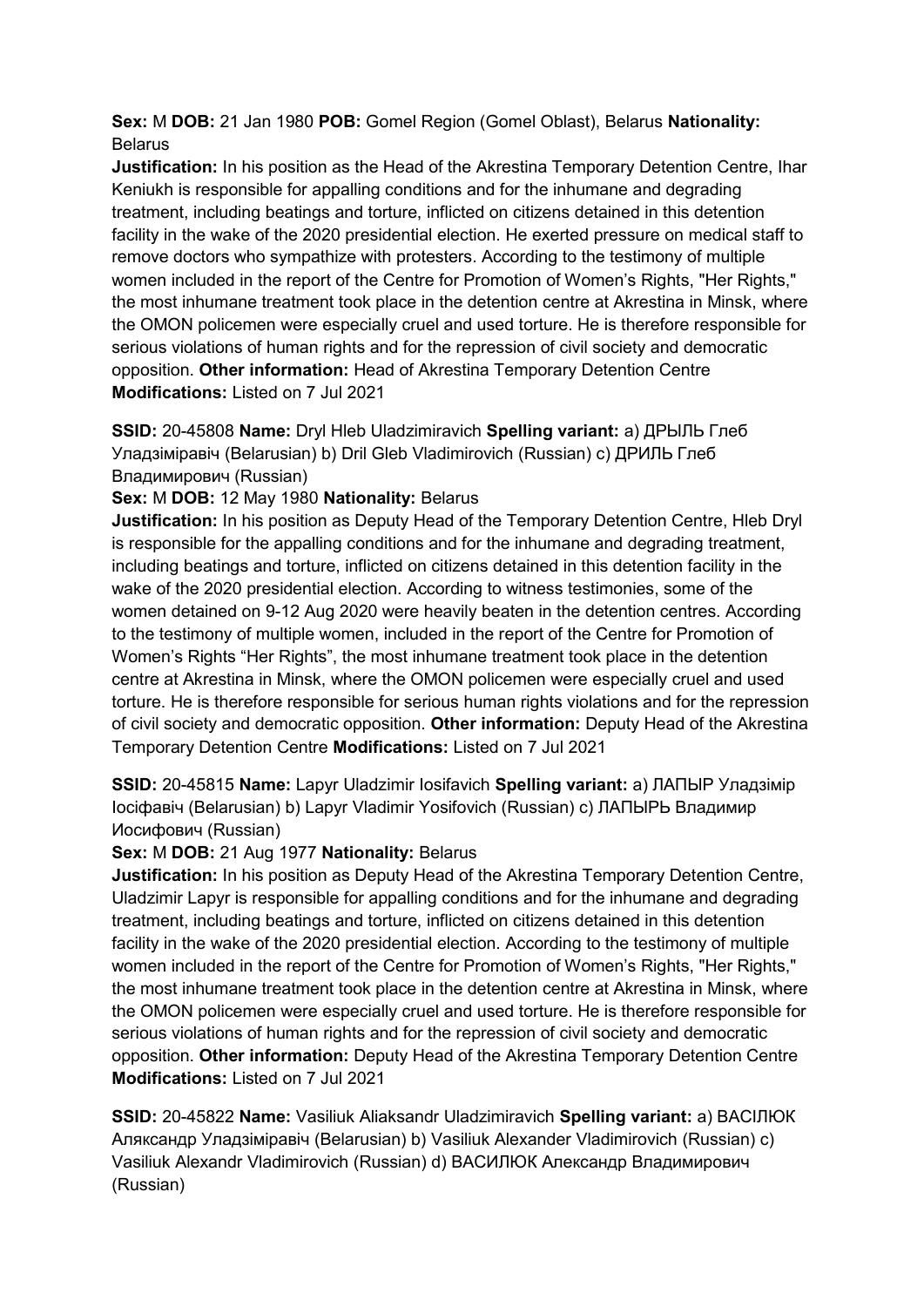**Sex:** M **DOB:** 21 Jan 1980 **POB:** Gomel Region (Gomel Oblast), Belarus **Nationality:** Belarus

**Justification:** In his position as the Head of the Akrestina Temporary Detention Centre, Ihar Keniukh is responsible for appalling conditions and for the inhumane and degrading treatment, including beatings and torture, inflicted on citizens detained in this detention facility in the wake of the 2020 presidential election. He exerted pressure on medical staff to remove doctors who sympathize with protesters. According to the testimony of multiple women included in the report of the Centre for Promotion of Women's Rights, "Her Rights," the most inhumane treatment took place in the detention centre at Akrestina in Minsk, where the OMON policemen were especially cruel and used torture. He is therefore responsible for serious violations of human rights and for the repression of civil society and democratic opposition. **Other information:** Head of Akrestina Temporary Detention Centre **Modifications:** Listed on 7 Jul 2021

**SSID:** 20-45808 **Name:** Dryl Hleb Uladzimiravich **Spelling variant:** a) ДРЫЛЬ Глеб Уладзiмiравiч (Belarusian) b) Dril Gleb Vladimirovich (Russian) c) ДРИЛЬ Глеб Владимирович (Russian)

**Sex:** M **DOB:** 12 May 1980 **Nationality:** Belarus

**Justification:** In his position as Deputy Head of the Temporary Detention Centre, Hleb Dryl is responsible for the appalling conditions and for the inhumane and degrading treatment, including beatings and torture, inflicted on citizens detained in this detention facility in the wake of the 2020 presidential election. According to witness testimonies, some of the women detained on 9-12 Aug 2020 were heavily beaten in the detention centres. According to the testimony of multiple women, included in the report of the Centre for Promotion of Women's Rights "Her Rights", the most inhumane treatment took place in the detention centre at Akrestina in Minsk, where the OMON policemen were especially cruel and used torture. He is therefore responsible for serious human rights violations and for the repression of civil society and democratic opposition. **Other information:** Deputy Head of the Akrestina Temporary Detention Centre **Modifications:** Listed on 7 Jul 2021

**SSID:** 20-45815 **Name:** Lapyr Uladzimir Iosifavich **Spelling variant:** a) ЛАПЫР Уладзiмiр Iосiфавiч (Belarusian) b) Lapyr Vladimir Yosifovich (Russian) c) ЛАПЫРЬ Владимир Иосифович (Russian)

## **Sex:** M **DOB:** 21 Aug 1977 **Nationality:** Belarus

**Justification:** In his position as Deputy Head of the Akrestina Temporary Detention Centre, Uladzimir Lapyr is responsible for appalling conditions and for the inhumane and degrading treatment, including beatings and torture, inflicted on citizens detained in this detention facility in the wake of the 2020 presidential election. According to the testimony of multiple women included in the report of the Centre for Promotion of Women's Rights, "Her Rights," the most inhumane treatment took place in the detention centre at Akrestina in Minsk, where the OMON policemen were especially cruel and used torture. He is therefore responsible for serious violations of human rights and for the repression of civil society and democratic opposition. **Other information:** Deputy Head of the Akrestina Temporary Detention Centre **Modifications:** Listed on 7 Jul 2021

**SSID:** 20-45822 **Name:** Vasiliuk Aliaksandr Uladzimiravich **Spelling variant:** a) ВАСIЛЮК Аляксандр Уладзiмiравiч (Belarusian) b) Vasiliuk Alexander Vladimirovich (Russian) c) Vasiliuk Alexandr Vladimirovich (Russian) d) ВАСИЛЮК Александр Владимирович (Russian)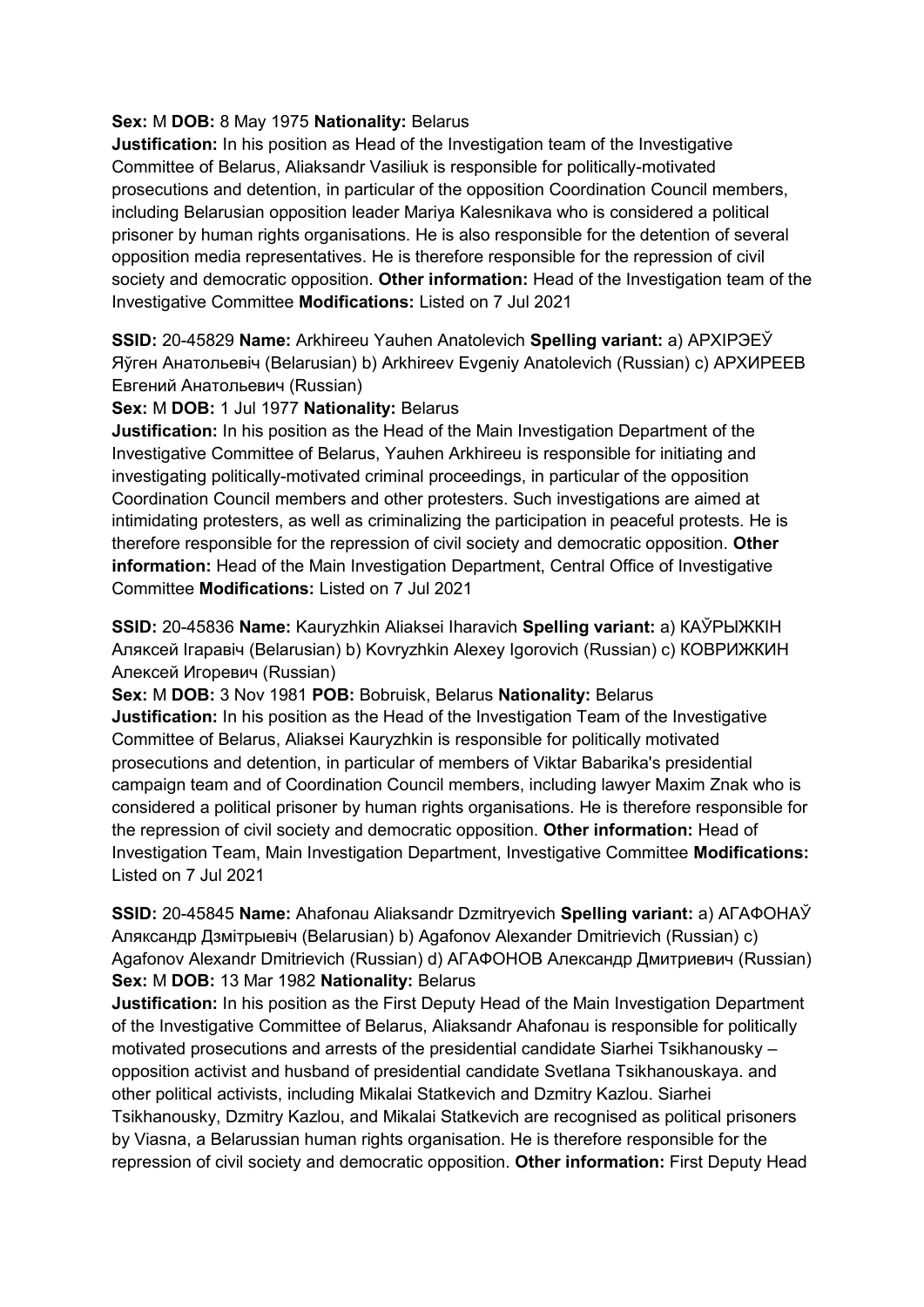## **Sex:** M **DOB:** 8 May 1975 **Nationality:** Belarus

**Justification:** In his position as Head of the Investigation team of the Investigative Committee of Belarus, Aliaksandr Vasiliuk is responsible for politically-motivated prosecutions and detention, in particular of the opposition Coordination Council members, including Belarusian opposition leader Mariya Kalesnikava who is considered a political prisoner by human rights organisations. He is also responsible for the detention of several opposition media representatives. He is therefore responsible for the repression of civil society and democratic opposition. **Other information:** Head of the Investigation team of the Investigative Committee **Modifications:** Listed on 7 Jul 2021

**SSID:** 20-45829 **Name:** Arkhireeu Yauhen Anatolevich **Spelling variant:** a) АРХIРЭЕЎ Яўген Анатольевiч (Belarusian) b) Arkhireev Evgeniy Anatolevich (Russian) c) АРХИРЕЕВ Евгений Анатольевич (Russian)

## **Sex:** M **DOB:** 1 Jul 1977 **Nationality:** Belarus

**Justification:** In his position as the Head of the Main Investigation Department of the Investigative Committee of Belarus, Yauhen Arkhireeu is responsible for initiating and investigating politically-motivated criminal proceedings, in particular of the opposition Coordination Council members and other protesters. Such investigations are aimed at intimidating protesters, as well as criminalizing the participation in peaceful protests. He is therefore responsible for the repression of civil society and democratic opposition. **Other information:** Head of the Main Investigation Department, Central Office of Investigative Committee **Modifications:** Listed on 7 Jul 2021

**SSID:** 20-45836 **Name:** Kauryzhkin Aliaksei Iharavich **Spelling variant:** a) КАЎРЫЖКIН Аляĸсей Iгаравiч (Belarusian) b) Kovryzhkin Alexey Igorovich (Russian) c) КОВРИЖКИН Алеĸсей Игоревич (Russian)

**Sex:** M **DOB:** 3 Nov 1981 **POB:** Bobruisk, Belarus **Nationality:** Belarus **Justification:** In his position as the Head of the Investigation Team of the Investigative Committee of Belarus, Aliaksei Kauryzhkin is responsible for politically motivated prosecutions and detention, in particular of members of Viktar Babarika's presidential campaign team and of Coordination Council members, including lawyer Maxim Znak who is considered a political prisoner by human rights organisations. He is therefore responsible for the repression of civil society and democratic opposition. **Other information:** Head of Investigation Team, Main Investigation Department, Investigative Committee **Modifications:**  Listed on 7 Jul 2021

**SSID:** 20-45845 **Name:** Ahafonau Aliaksandr Dzmitryevich **Spelling variant:** a) АГАФОНАЎ Аляксандр Дзмiтрыевiч (Belarusian) b) Agafonov Alexander Dmitrievich (Russian) c) Agafonov Alexandr Dmitrievich (Russian) d) АГАФОНОВ Александр Дмитриевич (Russian) **Sex:** M **DOB:** 13 Mar 1982 **Nationality:** Belarus

**Justification:** In his position as the First Deputy Head of the Main Investigation Department of the Investigative Committee of Belarus, Aliaksandr Ahafonau is responsible for politically motivated prosecutions and arrests of the presidential candidate Siarhei Tsikhanousky – opposition activist and husband of presidential candidate Svetlana Tsikhanouskaya. and other political activists, including Mikalai Statkevich and Dzmitry Kazlou. Siarhei Tsikhanousky, Dzmitry Kazlou, and Mikalai Statkevich are recognised as political prisoners by Viasna, a Belarussian human rights organisation. He is therefore responsible for the repression of civil society and democratic opposition. **Other information:** First Deputy Head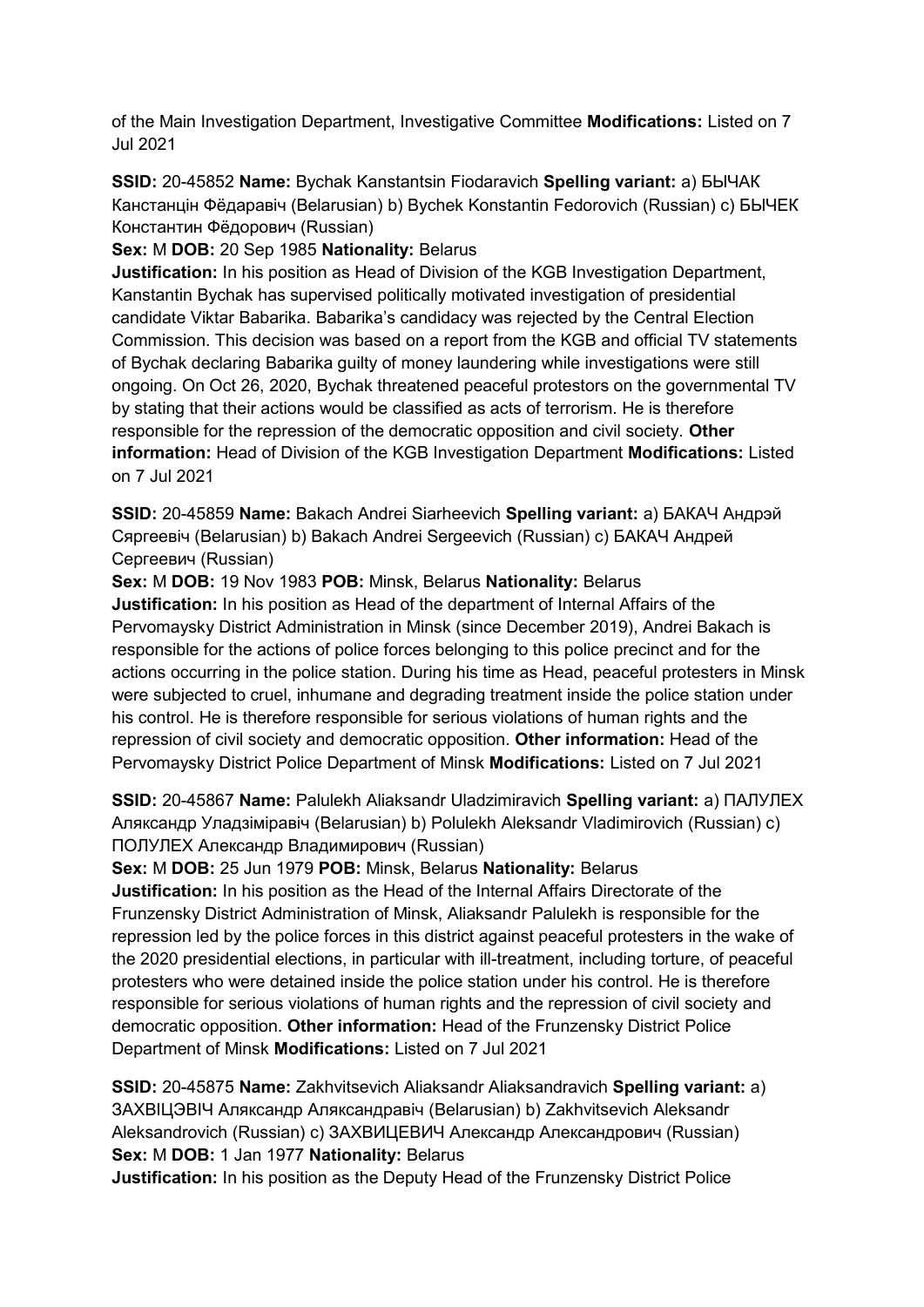of the Main Investigation Department, Investigative Committee **Modifications:** Listed on 7 Jul 2021

**SSID:** 20-45852 **Name:** Bychak Kanstantsin Fiodaravich **Spelling variant:** a) БЫЧАК Канстанцiн Фёдаравiч (Belarusian) b) Bychek Konstantin Fedorovich (Russian) c) БЫЧЕК Константин Фёдорович (Russian)

**Sex:** M **DOB:** 20 Sep 1985 **Nationality:** Belarus

**Justification:** In his position as Head of Division of the KGB Investigation Department, Kanstantin Bychak has supervised politically motivated investigation of presidential candidate Viktar Babarika. Babarika's candidacy was rejected by the Central Election Commission. This decision was based on a report from the KGB and official TV statements of Bychak declaring Babarika guilty of money laundering while investigations were still ongoing. On Oct 26, 2020, Bychak threatened peaceful protestors on the governmental TV by stating that their actions would be classified as acts of terrorism. He is therefore responsible for the repression of the democratic opposition and civil society. **Other information:** Head of Division of the KGB Investigation Department **Modifications:** Listed on 7 Jul 2021

**SSID:** 20-45859 **Name:** Bakach Andrei Siarheevich **Spelling variant:** a) БАКАЧ Андрэй Сяргеевiч (Belarusian) b) Bakach Andrei Sergeevich (Russian) c) БАКАЧ Андрей Сергеевич (Russian)

**Sex:** M **DOB:** 19 Nov 1983 **POB:** Minsk, Belarus **Nationality:** Belarus **Justification:** In his position as Head of the department of Internal Affairs of the Pervomaysky District Administration in Minsk (since December 2019), Andrei Bakach is responsible for the actions of police forces belonging to this police precinct and for the actions occurring in the police station. During his time as Head, peaceful protesters in Minsk were subjected to cruel, inhumane and degrading treatment inside the police station under

his control. He is therefore responsible for serious violations of human rights and the repression of civil society and democratic opposition. **Other information:** Head of the Pervomaysky District Police Department of Minsk **Modifications:** Listed on 7 Jul 2021

**SSID:** 20-45867 **Name:** Palulekh Aliaksandr Uladzimiravich **Spelling variant:** a) ПАЛУЛЕХ Аляксандр Уладзiмiравiч (Belarusian) b) Polulekh Aleksandr Vladimirovich (Russian) c) ПОЛУЛЕХ Александр Владимирович (Russian)

**Sex:** M **DOB:** 25 Jun 1979 **POB:** Minsk, Belarus **Nationality:** Belarus

**Justification:** In his position as the Head of the Internal Affairs Directorate of the Frunzensky District Administration of Minsk, Aliaksandr Palulekh is responsible for the repression led by the police forces in this district against peaceful protesters in the wake of the 2020 presidential elections, in particular with ill-treatment, including torture, of peaceful protesters who were detained inside the police station under his control. He is therefore responsible for serious violations of human rights and the repression of civil society and democratic opposition. **Other information:** Head of the Frunzensky District Police Department of Minsk **Modifications:** Listed on 7 Jul 2021

**SSID:** 20-45875 **Name:** Zakhvitsevich Aliaksandr Aliaksandravich **Spelling variant:** a) ЗАХВIЦЭВIЧ Аляксандр Аляксандравiч (Belarusian) b) Zakhvitsevich Aleksandr Aleksandrovich (Russian) c) ЗАХВИЦЕВИЧ Александр Александрович (Russian) **Sex:** M **DOB:** 1 Jan 1977 **Nationality:** Belarus

**Justification:** In his position as the Deputy Head of the Frunzensky District Police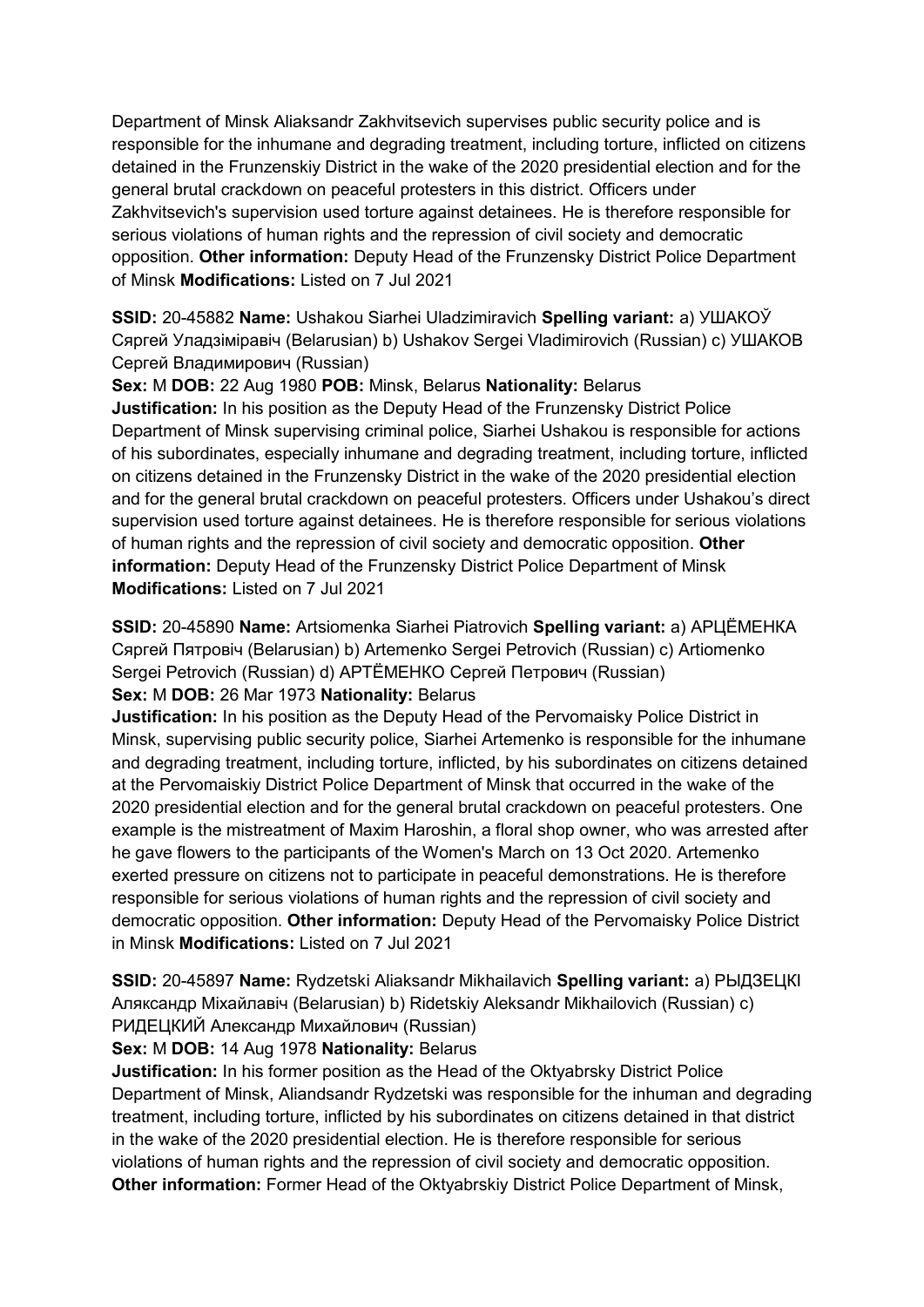Department of Minsk Aliaksandr Zakhvitsevich supervises public security police and is responsible for the inhumane and degrading treatment, including torture, inflicted on citizens detained in the Frunzenskiy District in the wake of the 2020 presidential election and for the general brutal crackdown on peaceful protesters in this district. Officers under Zakhvitsevich's supervision used torture against detainees. He is therefore responsible for serious violations of human rights and the repression of civil society and democratic opposition. **Other information:** Deputy Head of the Frunzensky District Police Department of Minsk **Modifications:** Listed on 7 Jul 2021

**SSID:** 20-45882 **Name:** Ushakou Siarhei Uladzimiravich **Spelling variant:** a) УШАКОЎ Сяргей Уладзiмiравiч (Belarusian) b) Ushakov Sergei Vladimirovich (Russian) c) УШАКОВ Сергей Владимирович (Russian)

**Sex:** M **DOB:** 22 Aug 1980 **POB:** Minsk, Belarus **Nationality:** Belarus

**Justification:** In his position as the Deputy Head of the Frunzensky District Police Department of Minsk supervising criminal police, Siarhei Ushakou is responsible for actions of his subordinates, especially inhumane and degrading treatment, including torture, inflicted on citizens detained in the Frunzensky District in the wake of the 2020 presidential election and for the general brutal crackdown on peaceful protesters. Officers under Ushakou's direct supervision used torture against detainees. He is therefore responsible for serious violations of human rights and the repression of civil society and democratic opposition. **Other information:** Deputy Head of the Frunzensky District Police Department of Minsk **Modifications:** Listed on 7 Jul 2021

**SSID:** 20-45890 **Name:** Artsiomenka Siarhei Piatrovich **Spelling variant:** a) АРЦЁМЕНКА Сяргей Пятровiч (Belarusian) b) Artemenko Sergei Petrovich (Russian) c) Artiomenko Sergei Petrovich (Russian) d) АРТЁМЕНКО Сергей Петрович (Russian)

**Sex:** M **DOB:** 26 Mar 1973 **Nationality:** Belarus

**Justification:** In his position as the Deputy Head of the Pervomaisky Police District in Minsk, supervising public security police, Siarhei Artemenko is responsible for the inhumane and degrading treatment, including torture, inflicted, by his subordinates on citizens detained at the Pervomaiskiy District Police Department of Minsk that occurred in the wake of the 2020 presidential election and for the general brutal crackdown on peaceful protesters. One example is the mistreatment of Maxim Haroshin, a floral shop owner, who was arrested after he gave flowers to the participants of the Women's March on 13 Oct 2020. Artemenko exerted pressure on citizens not to participate in peaceful demonstrations. He is therefore responsible for serious violations of human rights and the repression of civil society and democratic opposition. **Other information:** Deputy Head of the Pervomaisky Police District in Minsk **Modifications:** Listed on 7 Jul 2021

**SSID:** 20-45897 **Name:** Rydzetski Aliaksandr Mikhailavich **Spelling variant:** a) РЫДЗЕЦКI Аляксандр Мiхайлавiч (Belarusian) b) Ridetskiy Aleksandr Mikhailovich (Russian) c) РИДЕЦКИЙ Александр Михайлович (Russian)

# **Sex:** M **DOB:** 14 Aug 1978 **Nationality:** Belarus

**Justification:** In his former position as the Head of the Oktyabrsky District Police Department of Minsk, Aliandsandr Rydzetski was responsible for the inhuman and degrading treatment, including torture, inflicted by his subordinates on citizens detained in that district in the wake of the 2020 presidential election. He is therefore responsible for serious violations of human rights and the repression of civil society and democratic opposition. **Other information:** Former Head of the Oktyabrskiy District Police Department of Minsk,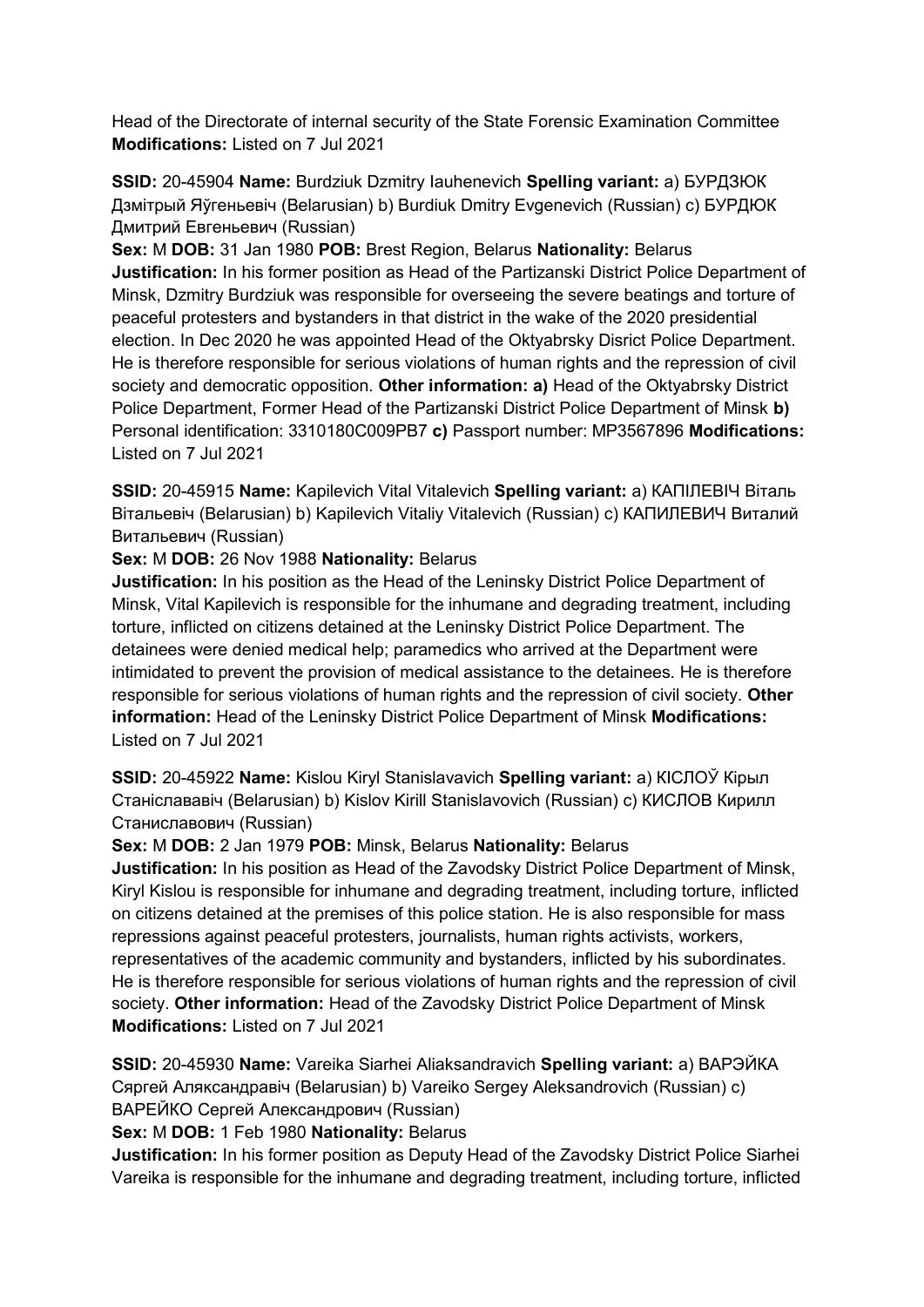Head of the Directorate of internal security of the State Forensic Examination Committee **Modifications:** Listed on 7 Jul 2021

**SSID:** 20-45904 **Name:** Burdziuk Dzmitry Iauhenevich **Spelling variant:** a) БУРДЗЮК Дзмiтрый Яўгеньевiч (Belarusian) b) Burdiuk Dmitry Evgenevich (Russian) c) БУРДЮК Дмитрий Евгеньевич (Russian)

**Sex:** M **DOB:** 31 Jan 1980 **POB:** Brest Region, Belarus **Nationality:** Belarus **Justification:** In his former position as Head of the Partizanski District Police Department of Minsk, Dzmitry Burdziuk was responsible for overseeing the severe beatings and torture of peaceful protesters and bystanders in that district in the wake of the 2020 presidential election. In Dec 2020 he was appointed Head of the Oktyabrsky Disrict Police Department. He is therefore responsible for serious violations of human rights and the repression of civil society and democratic opposition. **Other information: a)** Head of the Oktyabrsky District Police Department, Former Head of the Partizanski District Police Department of Minsk **b)**  Personal identification: 3310180C009PB7 **c)** Passport number: MP3567896 **Modifications:**  Listed on 7 Jul 2021

**SSID:** 20-45915 **Name:** Kapilevich Vital Vitalevich **Spelling variant:** a) КАПIЛЕВIЧ Вiталь Вiтальевiч (Belarusian) b) Kapilevich Vitaliy Vitalevich (Russian) c) КАПИЛЕВИЧ Виталий Витальевич (Russian)

## **Sex:** M **DOB:** 26 Nov 1988 **Nationality:** Belarus

**Justification:** In his position as the Head of the Leninsky District Police Department of Minsk, Vital Kapilevich is responsible for the inhumane and degrading treatment, including torture, inflicted on citizens detained at the Leninsky District Police Department. The detainees were denied medical help; paramedics who arrived at the Department were intimidated to prevent the provision of medical assistance to the detainees. He is therefore responsible for serious violations of human rights and the repression of civil society. **Other information:** Head of the Leninsky District Police Department of Minsk **Modifications:**  Listed on 7 Jul 2021

**SSID:** 20-45922 **Name:** Kislou Kiryl Stanislavavich **Spelling variant:** a) КIСЛОЎ Кiрыл Станiслававiч (Belarusian) b) Kislov Kirill Stanislavovich (Russian) c) КИСЛОВ Кирилл Станиславович (Russian)

## **Sex:** M **DOB:** 2 Jan 1979 **POB:** Minsk, Belarus **Nationality:** Belarus

**Justification:** In his position as Head of the Zavodsky District Police Department of Minsk, Kiryl Kislou is responsible for inhumane and degrading treatment, including torture, inflicted on citizens detained at the premises of this police station. He is also responsible for mass repressions against peaceful protesters, journalists, human rights activists, workers, representatives of the academic community and bystanders, inflicted by his subordinates. He is therefore responsible for serious violations of human rights and the repression of civil society. **Other information:** Head of the Zavodsky District Police Department of Minsk **Modifications:** Listed on 7 Jul 2021

**SSID:** 20-45930 **Name:** Vareika Siarhei Aliaksandravich **Spelling variant:** a) ВАРЭЙКА Сяргей Аляĸсандравiч (Belarusian) b) Vareiko Sergey Aleksandrovich (Russian) c) ВАРЕЙКО Сергей Александрович (Russian)

**Sex:** M **DOB:** 1 Feb 1980 **Nationality:** Belarus

**Justification:** In his former position as Deputy Head of the Zavodsky District Police Siarhei Vareika is responsible for the inhumane and degrading treatment, including torture, inflicted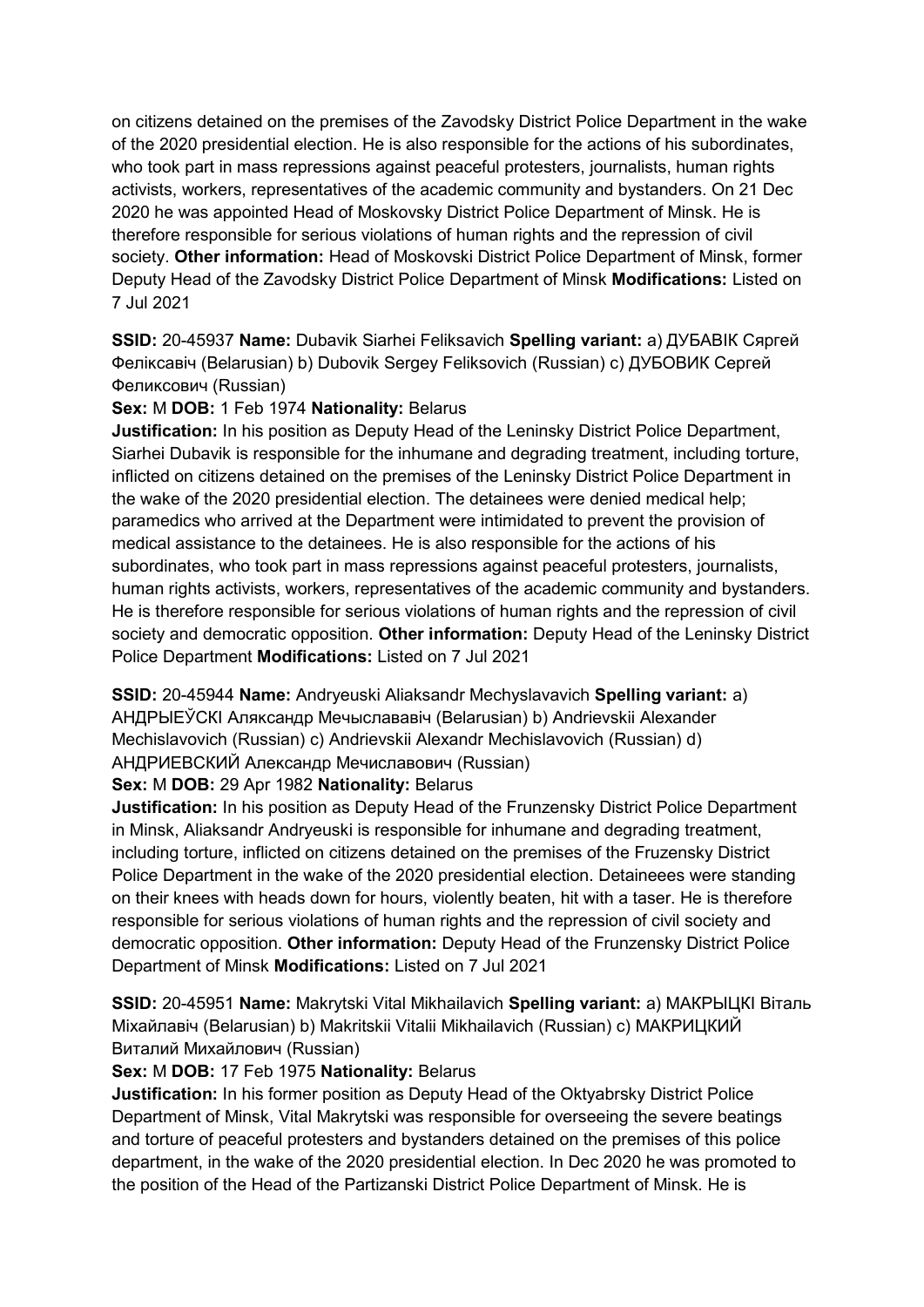on citizens detained on the premises of the Zavodsky District Police Department in the wake of the 2020 presidential election. He is also responsible for the actions of his subordinates, who took part in mass repressions against peaceful protesters, journalists, human rights activists, workers, representatives of the academic community and bystanders. On 21 Dec 2020 he was appointed Head of Moskovsky District Police Department of Minsk. He is therefore responsible for serious violations of human rights and the repression of civil society. **Other information:** Head of Moskovski District Police Department of Minsk, former Deputy Head of the Zavodsky District Police Department of Minsk **Modifications:** Listed on 7 Jul 2021

**SSID:** 20-45937 **Name:** Dubavik Siarhei Feliksavich **Spelling variant:** a) ДУБАВIК Сяргей Феліксавіч (Belarusian) b) Dubovik Sergey Feliksovich (Russian) с) ДУБОВИК Сергей Феликсович (Russian)

## **Sex:** M **DOB:** 1 Feb 1974 **Nationality:** Belarus

**Justification:** In his position as Deputy Head of the Leninsky District Police Department, Siarhei Dubavik is responsible for the inhumane and degrading treatment, including torture, inflicted on citizens detained on the premises of the Leninsky District Police Department in the wake of the 2020 presidential election. The detainees were denied medical help; paramedics who arrived at the Department were intimidated to prevent the provision of medical assistance to the detainees. He is also responsible for the actions of his subordinates, who took part in mass repressions against peaceful protesters, journalists, human rights activists, workers, representatives of the academic community and bystanders. He is therefore responsible for serious violations of human rights and the repression of civil society and democratic opposition. **Other information:** Deputy Head of the Leninsky District Police Department **Modifications:** Listed on 7 Jul 2021

**SSID:** 20-45944 **Name:** Andryeuski Aliaksandr Mechyslavavich **Spelling variant:** a) АНДРЫЕЎСКI Аляĸсандр Мечыслававiч (Belarusian) b) Andrievskii Alexander Mechislavovich (Russian) c) Andrievskii Alexandr Mechislavovich (Russian) d) АНДРИЕВСКИЙ Александр Мечиславович (Russian)

## **Sex:** M **DOB:** 29 Apr 1982 **Nationality:** Belarus

**Justification:** In his position as Deputy Head of the Frunzensky District Police Department in Minsk, Aliaksandr Andryeuski is responsible for inhumane and degrading treatment, including torture, inflicted on citizens detained on the premises of the Fruzensky District Police Department in the wake of the 2020 presidential election. Detaineees were standing on their knees with heads down for hours, violently beaten, hit with a taser. He is therefore responsible for serious violations of human rights and the repression of civil society and democratic opposition. **Other information:** Deputy Head of the Frunzensky District Police Department of Minsk **Modifications:** Listed on 7 Jul 2021

**SSID:** 20-45951 **Name:** Makrytski Vital Mikhailavich **Spelling variant:** a) МАКРЫЦКI Вiталь Мiхайлавiч (Belarusian) b) Makritskii Vitalii Mikhailavich (Russian) c) МАКРИЦКИЙ Виталий Михайлович (Russian)

# **Sex:** M **DOB:** 17 Feb 1975 **Nationality:** Belarus

**Justification:** In his former position as Deputy Head of the Oktyabrsky District Police Department of Minsk, Vital Makrytski was responsible for overseeing the severe beatings and torture of peaceful protesters and bystanders detained on the premises of this police department, in the wake of the 2020 presidential election. In Dec 2020 he was promoted to the position of the Head of the Partizanski District Police Department of Minsk. He is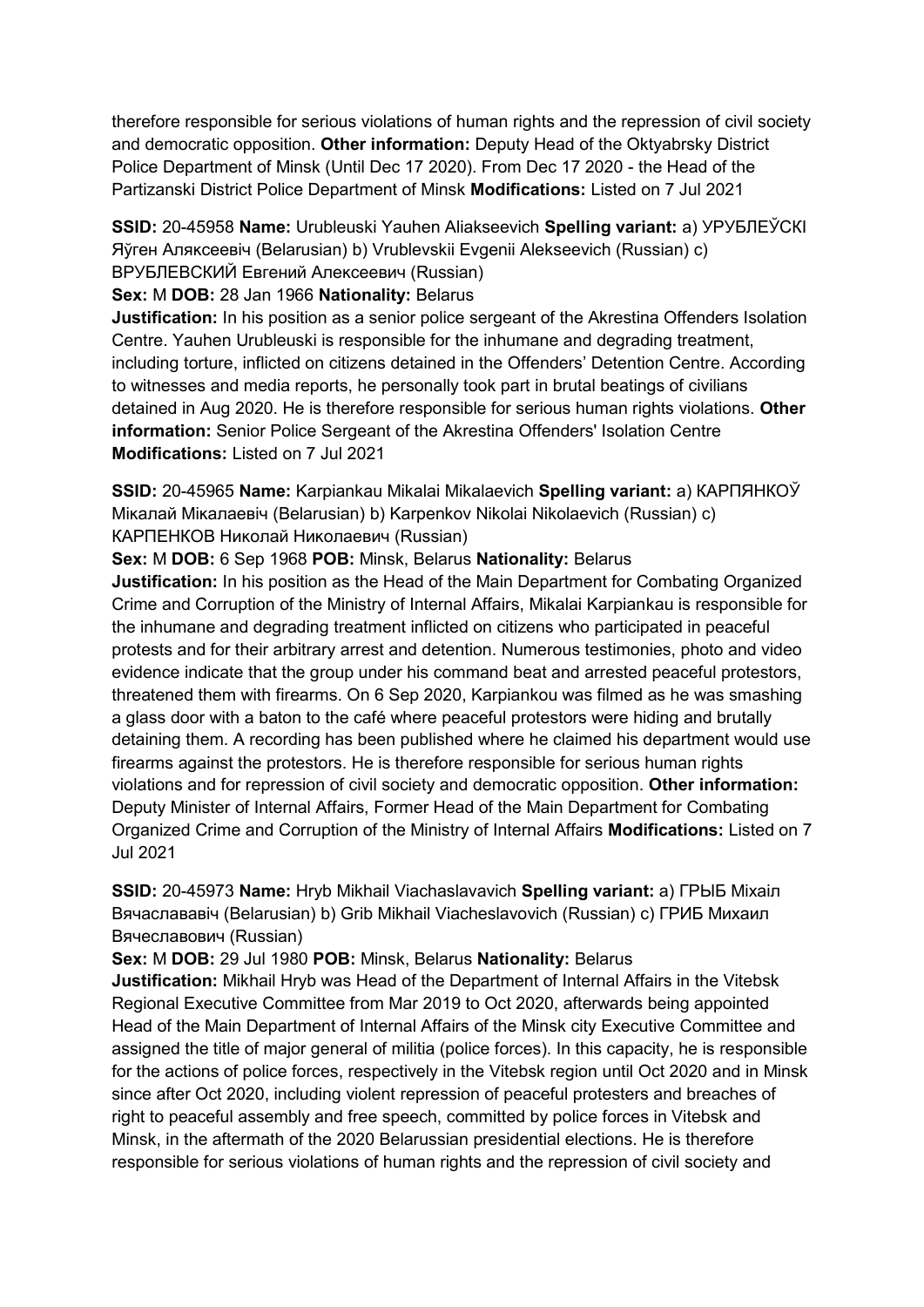therefore responsible for serious violations of human rights and the repression of civil society and democratic opposition. **Other information:** Deputy Head of the Oktyabrsky District Police Department of Minsk (Until Dec 17 2020). From Dec 17 2020 - the Head of the Partizanski District Police Department of Minsk **Modifications:** Listed on 7 Jul 2021

**SSID:** 20-45958 **Name:** Urubleuski Yauhen Aliakseevich **Spelling variant:** a) УРУБЛЕЎСКI Яўген Аляĸсеевiч (Belarusian) b) Vrublevskii Evgenii Alekseevich (Russian) c) ВРУБЛЕВСКИЙ Евгений Алексеевич (Russian)

**Sex:** M **DOB:** 28 Jan 1966 **Nationality:** Belarus

**Justification:** In his position as a senior police sergeant of the Akrestina Offenders Isolation Centre. Yauhen Urubleuski is responsible for the inhumane and degrading treatment, including torture, inflicted on citizens detained in the Offenders' Detention Centre. According to witnesses and media reports, he personally took part in brutal beatings of civilians detained in Aug 2020. He is therefore responsible for serious human rights violations. **Other information:** Senior Police Sergeant of the Akrestina Offenders' Isolation Centre **Modifications:** Listed on 7 Jul 2021

**SSID:** 20-45965 **Name:** Karpiankau Mikalai Mikalaevich **Spelling variant:** a) КАРПЯНКОЎ Мiĸалай Мiĸалаевiч (Belarusian) b) Karpenkov Nikolai Nikolaevich (Russian) c) КАРПЕНКОВ Ниĸолай Ниĸолаевич (Russian)

**Sex:** M **DOB:** 6 Sep 1968 **POB:** Minsk, Belarus **Nationality:** Belarus **Justification:** In his position as the Head of the Main Department for Combating Organized

Crime and Corruption of the Ministry of Internal Affairs, Mikalai Karpiankau is responsible for the inhumane and degrading treatment inflicted on citizens who participated in peaceful protests and for their arbitrary arrest and detention. Numerous testimonies, photo and video evidence indicate that the group under his command beat and arrested peaceful protestors, threatened them with firearms. On 6 Sep 2020, Karpiankou was filmed as he was smashing a glass door with a baton to the café where peaceful protestors were hiding and brutally detaining them. A recording has been published where he claimed his department would use firearms against the protestors. He is therefore responsible for serious human rights violations and for repression of civil society and democratic opposition. **Other information:** Deputy Minister of Internal Affairs, Former Head of the Main Department for Combating Organized Crime and Corruption of the Ministry of Internal Affairs **Modifications:** Listed on 7 Jul 2021

**SSID:** 20-45973 **Name:** Hryb Mikhail Viachaslavavich **Spelling variant:** a) ГРЫБ Мiхаiл Вячаслававiч (Belarusian) b) Grib Mikhail Viacheslavovich (Russian) c) ГРИБ Михаил Вячеславович (Russian)

**Sex:** M **DOB:** 29 Jul 1980 **POB:** Minsk, Belarus **Nationality:** Belarus

**Justification:** Mikhail Hryb was Head of the Department of Internal Affairs in the Vitebsk Regional Executive Committee from Mar 2019 to Oct 2020, afterwards being appointed Head of the Main Department of Internal Affairs of the Minsk city Executive Committee and assigned the title of major general of militia (police forces). In this capacity, he is responsible for the actions of police forces, respectively in the Vitebsk region until Oct 2020 and in Minsk since after Oct 2020, including violent repression of peaceful protesters and breaches of right to peaceful assembly and free speech, committed by police forces in Vitebsk and Minsk, in the aftermath of the 2020 Belarussian presidential elections. He is therefore responsible for serious violations of human rights and the repression of civil society and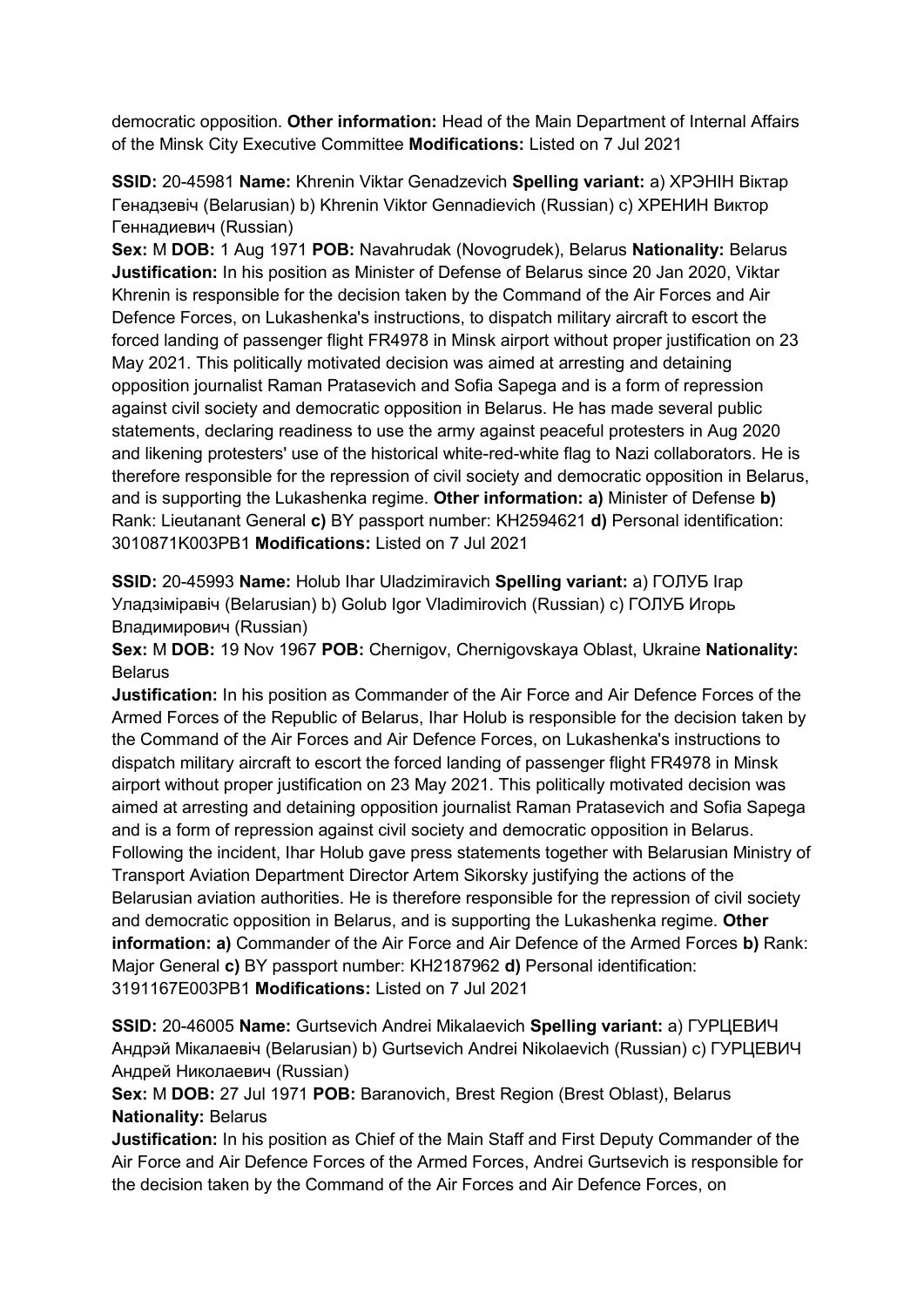democratic opposition. **Other information:** Head of the Main Department of Internal Affairs of the Minsk City Executive Committee **Modifications:** Listed on 7 Jul 2021

**SSID:** 20-45981 **Name:** Khrenin Viktar Genadzevich **Spelling variant:** a) ХРЭНIН Вiктар Генадзевiч (Belarusian) b) Khrenin Viktor Gennadievich (Russian) c) ХРЕНИН Виктор Геннадиевич (Russian)

**Sex:** M **DOB:** 1 Aug 1971 **POB:** Navahrudak (Novogrudek), Belarus **Nationality:** Belarus **Justification:** In his position as Minister of Defense of Belarus since 20 Jan 2020, Viktar Khrenin is responsible for the decision taken by the Command of the Air Forces and Air Defence Forces, on Lukashenka's instructions, to dispatch military aircraft to escort the forced landing of passenger flight FR4978 in Minsk airport without proper justification on 23 May 2021. This politically motivated decision was aimed at arresting and detaining opposition journalist Raman Pratasevich and Sofia Sapega and is a form of repression against civil society and democratic opposition in Belarus. He has made several public statements, declaring readiness to use the army against peaceful protesters in Aug 2020 and likening protesters' use of the historical white-red-white flag to Nazi collaborators. He is therefore responsible for the repression of civil society and democratic opposition in Belarus, and is supporting the Lukashenka regime. **Other information: a)** Minister of Defense **b)**  Rank: Lieutanant General **c)** BY passport number: KH2594621 **d)** Personal identification: 3010871K003PB1 **Modifications:** Listed on 7 Jul 2021

**SSID:** 20-45993 **Name:** Holub Ihar Uladzimiravich **Spelling variant:** a) ГОЛУБ Iгар Уладзiмiравiч (Belarusian) b) Golub Igor Vladimirovich (Russian) c) ГОЛУБ Игорь Владимирович (Russian)

**Sex:** M **DOB:** 19 Nov 1967 **POB:** Chernigov, Chernigovskaya Oblast, Ukraine **Nationality: Belarus** 

**Justification:** In his position as Commander of the Air Force and Air Defence Forces of the Armed Forces of the Republic of Belarus, Ihar Holub is responsible for the decision taken by the Command of the Air Forces and Air Defence Forces, on Lukashenka's instructions to dispatch military aircraft to escort the forced landing of passenger flight FR4978 in Minsk airport without proper justification on 23 May 2021. This politically motivated decision was aimed at arresting and detaining opposition journalist Raman Pratasevich and Sofia Sapega and is a form of repression against civil society and democratic opposition in Belarus. Following the incident, Ihar Holub gave press statements together with Belarusian Ministry of Transport Aviation Department Director Artem Sikorsky justifying the actions of the Belarusian aviation authorities. He is therefore responsible for the repression of civil society and democratic opposition in Belarus, and is supporting the Lukashenka regime. **Other information: a)** Commander of the Air Force and Air Defence of the Armed Forces **b)** Rank: Major General **c)** BY passport number: KH2187962 **d)** Personal identification: 3191167E003PB1 **Modifications:** Listed on 7 Jul 2021

**SSID:** 20-46005 **Name:** Gurtsevich Andrei Mikalaevich **Spelling variant:** a) ГУРЦЕВИЧ Андрэй Мiкалаевiч (Belarusian) b) Gurtsevich Andrei Nikolaevich (Russian) c) ГУРЦЕВИЧ Андрей Николаевич (Russian)

**Sex:** M **DOB:** 27 Jul 1971 **POB:** Baranovich, Brest Region (Brest Oblast), Belarus **Nationality:** Belarus

**Justification:** In his position as Chief of the Main Staff and First Deputy Commander of the Air Force and Air Defence Forces of the Armed Forces, Andrei Gurtsevich is responsible for the decision taken by the Command of the Air Forces and Air Defence Forces, on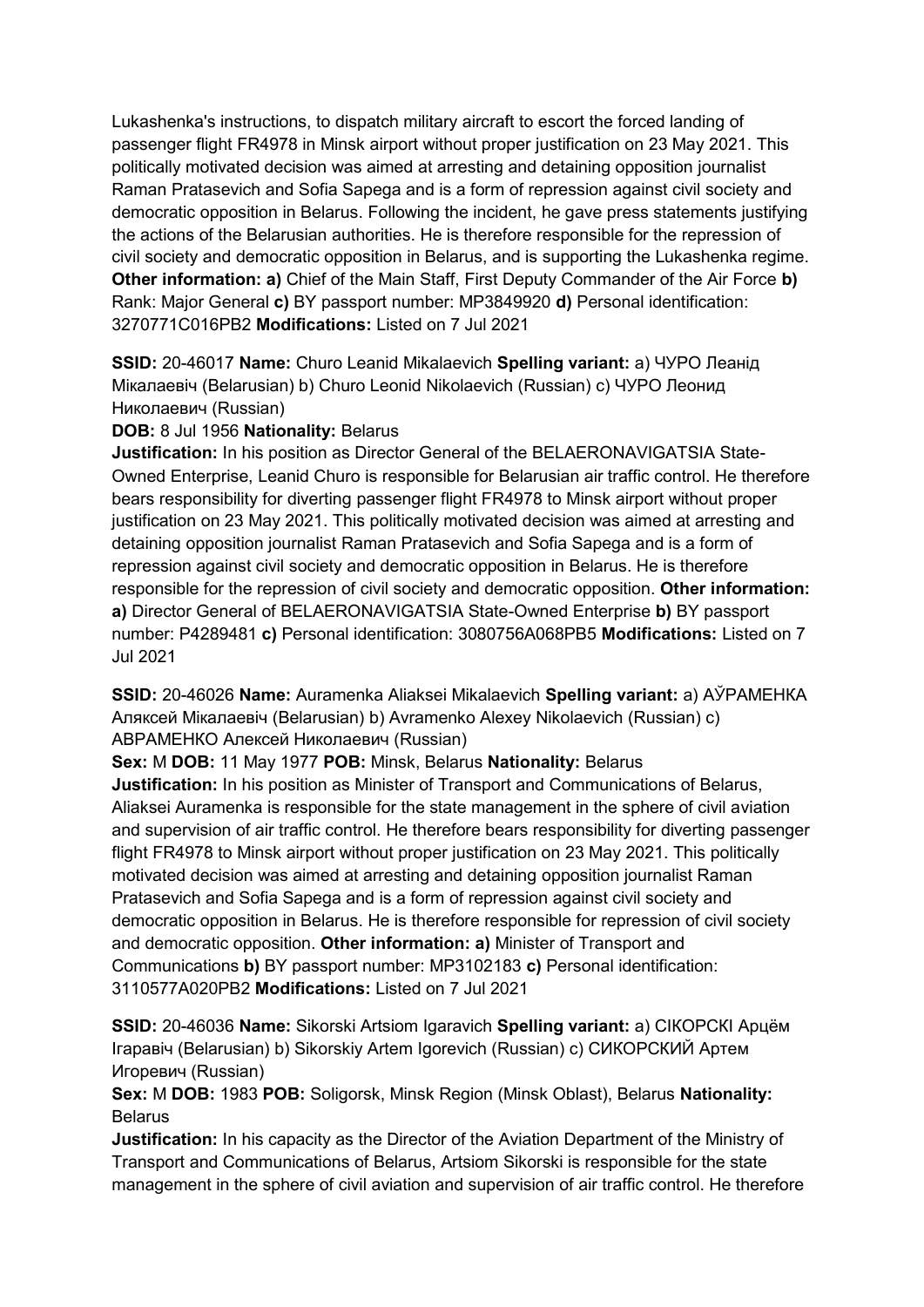Lukashenka's instructions, to dispatch military aircraft to escort the forced landing of passenger flight FR4978 in Minsk airport without proper justification on 23 May 2021. This politically motivated decision was aimed at arresting and detaining opposition journalist Raman Pratasevich and Sofia Sapega and is a form of repression against civil society and democratic opposition in Belarus. Following the incident, he gave press statements justifying the actions of the Belarusian authorities. He is therefore responsible for the repression of civil society and democratic opposition in Belarus, and is supporting the Lukashenka regime. **Other information: a)** Chief of the Main Staff, First Deputy Commander of the Air Force **b)**  Rank: Major General **c)** BY passport number: MP3849920 **d)** Personal identification: 3270771C016PB2 **Modifications:** Listed on 7 Jul 2021

**SSID:** 20-46017 **Name:** Churo Leanid Mikalaevich **Spelling variant:** a) ЧУРО Леанiд Мiкалаевiч (Belarusian) b) Churo Leonid Nikolaevich (Russian) c) ЧУРО Леонид Николаевич (Russian)

## **DOB:** 8 Jul 1956 **Nationality:** Belarus

**Justification:** In his position as Director General of the BELAERONAVIGATSIA State-Owned Enterprise, Leanid Churo is responsible for Belarusian air traffic control. He therefore bears responsibility for diverting passenger flight FR4978 to Minsk airport without proper justification on 23 May 2021. This politically motivated decision was aimed at arresting and detaining opposition journalist Raman Pratasevich and Sofia Sapega and is a form of repression against civil society and democratic opposition in Belarus. He is therefore responsible for the repression of civil society and democratic opposition. **Other information: a)** Director General of BELAERONAVIGATSIA State-Owned Enterprise **b)** BY passport number: P4289481 **c)** Personal identification: 3080756A068PB5 **Modifications:** Listed on 7 Jul 2021

**SSID:** 20-46026 **Name:** Auramenka Aliaksei Mikalaevich **Spelling variant:** a) АЎРАМЕНКА Аляксей Мiкалаевiч (Belarusian) b) Avramenko Alexey Nikolaevich (Russian) c) АВРАМЕНКО Алексей Николаевич (Russian)

**Sex:** M **DOB:** 11 May 1977 **POB:** Minsk, Belarus **Nationality:** Belarus

**Justification:** In his position as Minister of Transport and Communications of Belarus, Aliaksei Auramenka is responsible for the state management in the sphere of civil aviation and supervision of air traffic control. He therefore bears responsibility for diverting passenger flight FR4978 to Minsk airport without proper justification on 23 May 2021. This politically motivated decision was aimed at arresting and detaining opposition journalist Raman Pratasevich and Sofia Sapega and is a form of repression against civil society and democratic opposition in Belarus. He is therefore responsible for repression of civil society and democratic opposition. **Other information: a)** Minister of Transport and Communications **b)** BY passport number: MP3102183 **c)** Personal identification: 3110577A020PB2 **Modifications:** Listed on 7 Jul 2021

**SSID:** 20-46036 **Name:** Sikorski Artsiom Igaravich **Spelling variant:** a) СIКОРСКI Арцём Iгаравiч (Belarusian) b) Sikorskiy Artem Igorevich (Russian) c) СИКОРСКИЙ Артем Игоревич (Russian)

**Sex:** M **DOB:** 1983 **POB:** Soligorsk, Minsk Region (Minsk Oblast), Belarus **Nationality:** Belarus

**Justification:** In his capacity as the Director of the Aviation Department of the Ministry of Transport and Communications of Belarus, Artsiom Sikorski is responsible for the state management in the sphere of civil aviation and supervision of air traffic control. He therefore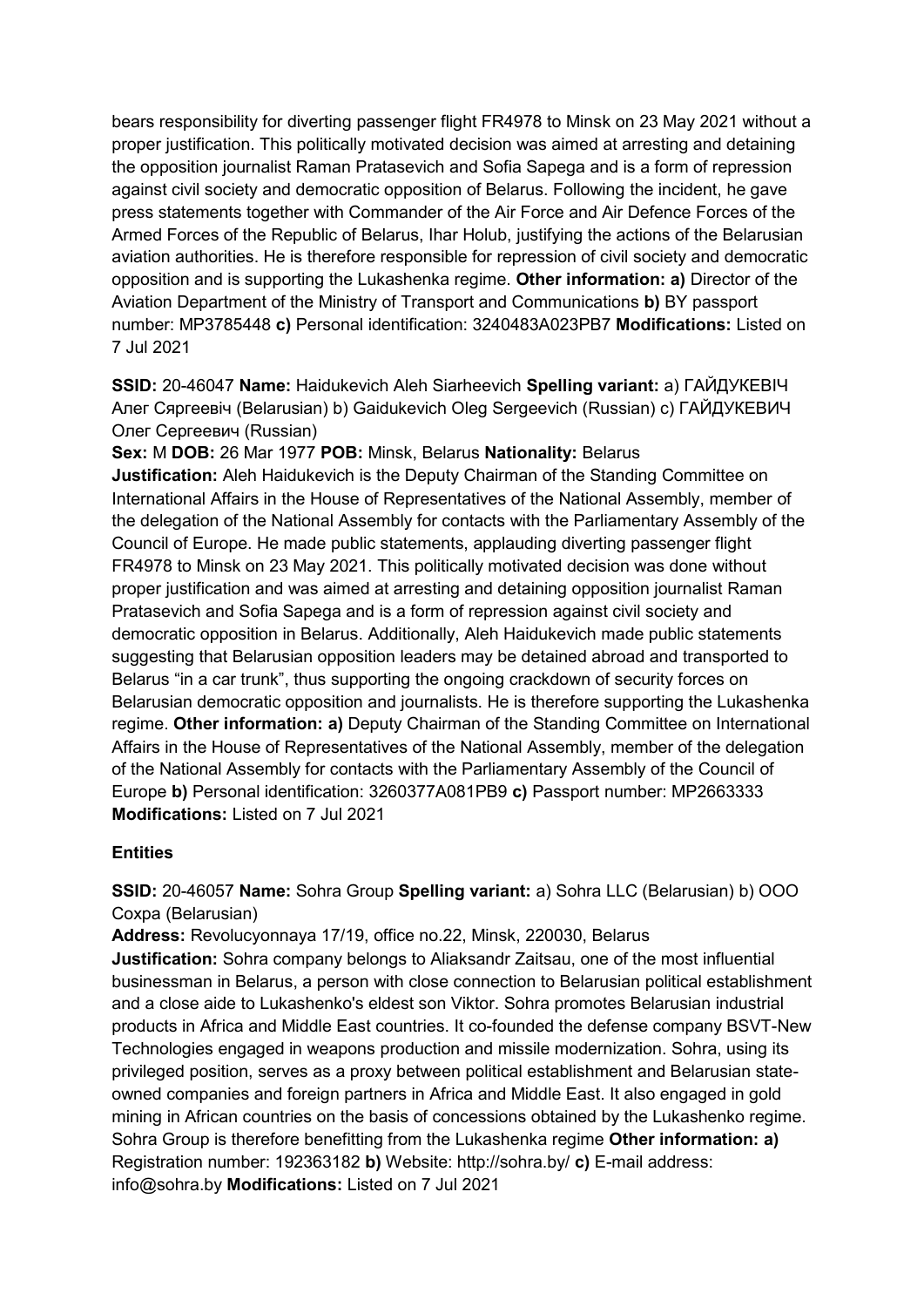bears responsibility for diverting passenger flight FR4978 to Minsk on 23 May 2021 without a proper justification. This politically motivated decision was aimed at arresting and detaining the opposition journalist Raman Pratasevich and Sofia Sapega and is a form of repression against civil society and democratic opposition of Belarus. Following the incident, he gave press statements together with Commander of the Air Force and Air Defence Forces of the Armed Forces of the Republic of Belarus, Ihar Holub, justifying the actions of the Belarusian aviation authorities. He is therefore responsible for repression of civil society and democratic opposition and is supporting the Lukashenka regime. **Other information: a)** Director of the Aviation Department of the Ministry of Transport and Communications **b)** BY passport number: MP3785448 **c)** Personal identification: 3240483A023PB7 **Modifications:** Listed on 7 Jul 2021

**SSID:** 20-46047 **Name:** Haidukevich Aleh Siarheevich **Spelling variant:** a) ГАЙДУКЕВIЧ Алег Сяргеевiч (Belarusian) b) Gaidukevich Oleg Sergeevich (Russian) c) ГАЙДУКЕВИЧ Олег Сергеевич (Russian)

**Sex:** M **DOB:** 26 Mar 1977 **POB:** Minsk, Belarus **Nationality:** Belarus **Justification:** Aleh Haidukevich is the Deputy Chairman of the Standing Committee on International Affairs in the House of Representatives of the National Assembly, member of the delegation of the National Assembly for contacts with the Parliamentary Assembly of the Council of Europe. He made public statements, applauding diverting passenger flight FR4978 to Minsk on 23 May 2021. This politically motivated decision was done without proper justification and was aimed at arresting and detaining opposition journalist Raman Pratasevich and Sofia Sapega and is a form of repression against civil society and democratic opposition in Belarus. Additionally, Aleh Haidukevich made public statements suggesting that Belarusian opposition leaders may be detained abroad and transported to Belarus "in a car trunk", thus supporting the ongoing crackdown of security forces on Belarusian democratic opposition and journalists. He is therefore supporting the Lukashenka regime. **Other information: a)** Deputy Chairman of the Standing Committee on International Affairs in the House of Representatives of the National Assembly, member of the delegation of the National Assembly for contacts with the Parliamentary Assembly of the Council of Europe **b)** Personal identification: 3260377A081PB9 **c)** Passport number: MP2663333 **Modifications:** Listed on 7 Jul 2021

## **Entities**

**SSID:** 20-46057 **Name:** Sohra Group **Spelling variant:** a) Sohra LLC (Belarusian) b) ООО Сохра (Belarusian)

**Address:** Revolucyonnaya 17/19, office no.22, Minsk, 220030, Belarus **Justification:** Sohra company belongs to Aliaksandr Zaitsau, one of the most influential businessman in Belarus, a person with close connection to Belarusian political establishment and a close aide to Lukashenko's eldest son Viktor. Sohra promotes Belarusian industrial products in Africa and Middle East countries. It co-founded the defense company BSVT-New Technologies engaged in weapons production and missile modernization. Sohra, using its privileged position, serves as a proxy between political establishment and Belarusian stateowned companies and foreign partners in Africa and Middle East. It also engaged in gold mining in African countries on the basis of concessions obtained by the Lukashenko regime. Sohra Group is therefore benefitting from the Lukashenka regime **Other information: a)**  Registration number: 192363182 **b)** Website: http://sohra.by/ **c)** E-mail address: info@sohra.by **Modifications:** Listed on 7 Jul 2021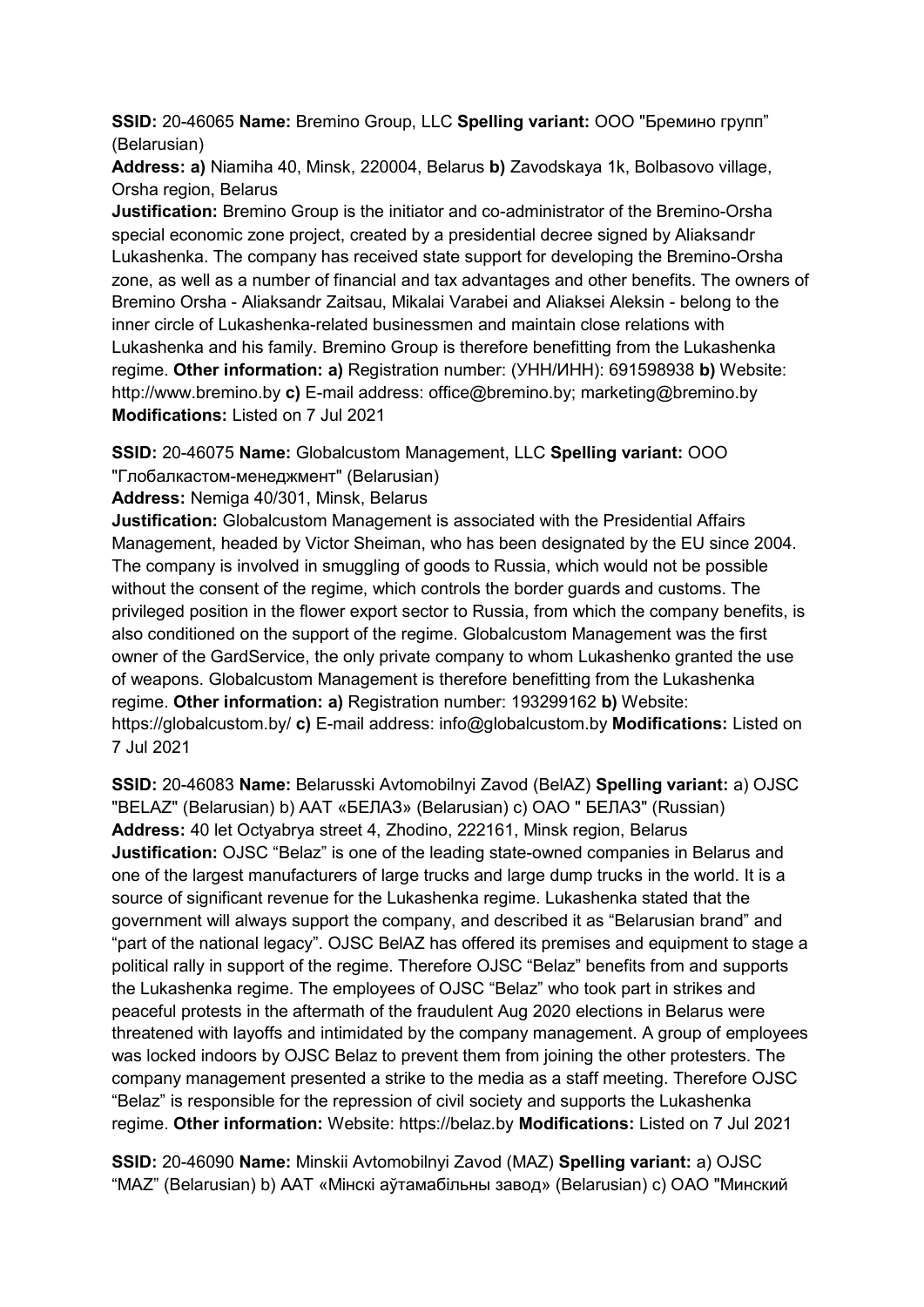**SSID:** 20-46065 **Name:** Bremino Group, LLC **Spelling variant:** ООО "Бремино групп" (Belarusian)

**Address: a)** Niamiha 40, Minsk, 220004, Belarus **b)** Zavodskaya 1k, Bolbasovo village, Orsha region, Belarus

**Justification:** Bremino Group is the initiator and co-administrator of the Bremino-Orsha special economic zone project, created by a presidential decree signed by Aliaksandr Lukashenka. The company has received state support for developing the Bremino-Orsha zone, as well as a number of financial and tax advantages and other benefits. The owners of Bremino Orsha - Aliaksandr Zaitsau, Mikalai Varabei and Aliaksei Aleksin - belong to the inner circle of Lukashenka-related businessmen and maintain close relations with Lukashenka and his family. Bremino Group is therefore benefitting from the Lukashenka regime. **Other information: a)** Registration number: (УНН/ИНН): 691598938 **b)** Website: http://www.bremino.by **c)** E-mail address: office@bremino.by; marketing@bremino.by **Modifications:** Listed on 7 Jul 2021

**SSID:** 20-46075 **Name:** Globalcustom Management, LLC **Spelling variant:** ООО "Глобалкастом-менеджмент" (Belarusian)

**Address:** Nemiga 40/301, Minsk, Belarus

**Justification:** Globalcustom Management is associated with the Presidential Affairs Management, headed by Victor Sheiman, who has been designated by the EU since 2004. The company is involved in smuggling of goods to Russia, which would not be possible without the consent of the regime, which controls the border guards and customs. The privileged position in the flower export sector to Russia, from which the company benefits, is also conditioned on the support of the regime. Globalcustom Management was the first owner of the GardService, the only private company to whom Lukashenko granted the use of weapons. Globalcustom Management is therefore benefitting from the Lukashenka regime. **Other information: a)** Registration number: 193299162 **b)** Website: https://globalcustom.by/ **c)** E-mail address: info@globalcustom.by **Modifications:** Listed on 7 Jul 2021

**SSID:** 20-46083 **Name:** Belarusski Avtomobilnyi Zavod (BelAZ) **Spelling variant:** a) OJSC "BELAZ" (Belarusian) b) ААТ «БЕЛАЗ» (Belarusian) c) ОАО " БЕЛАЗ" (Russian) **Address:** 40 let Octyabrya street 4, Zhodino, 222161, Minsk region, Belarus **Justification:** OJSC "Belaz" is one of the leading state-owned companies in Belarus and one of the largest manufacturers of large trucks and large dump trucks in the world. It is a source of significant revenue for the Lukashenka regime. Lukashenka stated that the government will always support the company, and described it as "Belarusian brand" and "part of the national legacy". OJSC BelAZ has offered its premises and equipment to stage a political rally in support of the regime. Therefore OJSC "Belaz" benefits from and supports the Lukashenka regime. The employees of OJSC "Belaz" who took part in strikes and peaceful protests in the aftermath of the fraudulent Aug 2020 elections in Belarus were threatened with layoffs and intimidated by the company management. A group of employees was locked indoors by OJSC Belaz to prevent them from joining the other protesters. The company management presented a strike to the media as a staff meeting. Therefore OJSC "Belaz" is responsible for the repression of civil society and supports the Lukashenka regime. **Other information:** Website: https://belaz.by **Modifications:** Listed on 7 Jul 2021

**SSID:** 20-46090 **Name:** Minskii Avtomobilnyi Zavod (MAZ) **Spelling variant:** a) OJSC "MAZ" (Belarusian) b) ААТ «Мiнскi аўтамабiльны завод» (Belarusian) c) ОАО "Минский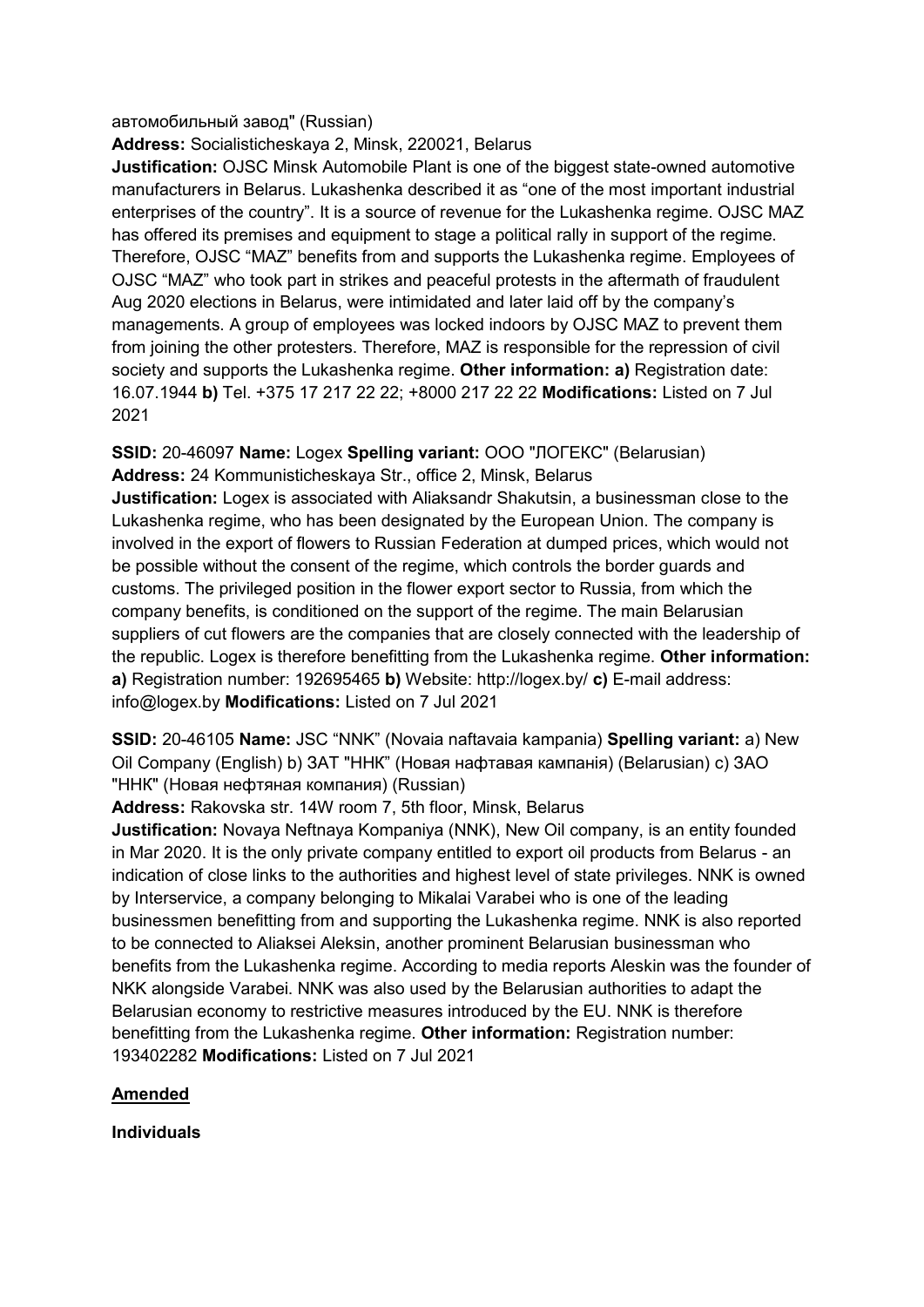#### автомобильный завод" (Russian)

**Address:** Socialisticheskaya 2, Minsk, 220021, Belarus

**Justification:** OJSC Minsk Automobile Plant is one of the biggest state-owned automotive manufacturers in Belarus. Lukashenka described it as "one of the most important industrial enterprises of the country". It is a source of revenue for the Lukashenka regime. OJSC MAZ has offered its premises and equipment to stage a political rally in support of the regime. Therefore, OJSC "MAZ" benefits from and supports the Lukashenka regime. Employees of OJSC "MAZ" who took part in strikes and peaceful protests in the aftermath of fraudulent Aug 2020 elections in Belarus, were intimidated and later laid off by the company's managements. A group of employees was locked indoors by OJSC MAZ to prevent them from joining the other protesters. Therefore, MAZ is responsible for the repression of civil society and supports the Lukashenka regime. **Other information: a)** Registration date: 16.07.1944 **b)** Tel. +375 17 217 22 22; +8000 217 22 22 **Modifications:** Listed on 7 Jul 2021

**SSID:** 20-46097 **Name:** Logex **Spelling variant:** ООО "ЛОГЕКС" (Belarusian) **Address:** 24 Kommunisticheskaya Str., office 2, Minsk, Belarus

**Justification:** Logex is associated with Aliaksandr Shakutsin, a businessman close to the Lukashenka regime, who has been designated by the European Union. The company is involved in the export of flowers to Russian Federation at dumped prices, which would not be possible without the consent of the regime, which controls the border guards and customs. The privileged position in the flower export sector to Russia, from which the company benefits, is conditioned on the support of the regime. The main Belarusian suppliers of cut flowers are the companies that are closely connected with the leadership of the republic. Logex is therefore benefitting from the Lukashenka regime. **Other information: a)** Registration number: 192695465 **b)** Website: http://logex.by/ **c)** E-mail address: info@logex.by **Modifications:** Listed on 7 Jul 2021

**SSID:** 20-46105 **Name:** JSC "NNK" (Novaia naftavaia kampania) **Spelling variant:** a) New Oil Company (English) b) ЗАТ "ННК" (Новая нафтавая кампанiя) (Belarusian) c) ЗАО "ННК" (Новая нефтяная компания) (Russian)

**Address:** Rakovska str. 14W room 7, 5th floor, Minsk, Belarus

**Justification:** Novaya Neftnaya Kompaniya (NNK), New Oil company, is an entity founded in Mar 2020. It is the only private company entitled to export oil products from Belarus - an indication of close links to the authorities and highest level of state privileges. NNK is owned by Interservice, a company belonging to Mikalai Varabei who is one of the leading businessmen benefitting from and supporting the Lukashenka regime. NNK is also reported to be connected to Aliaksei Aleksin, another prominent Belarusian businessman who benefits from the Lukashenka regime. According to media reports Aleskin was the founder of NKK alongside Varabei. NNK was also used by the Belarusian authorities to adapt the Belarusian economy to restrictive measures introduced by the EU. NNK is therefore benefitting from the Lukashenka regime. **Other information:** Registration number: 193402282 **Modifications:** Listed on 7 Jul 2021

## **Amended**

**Individuals**